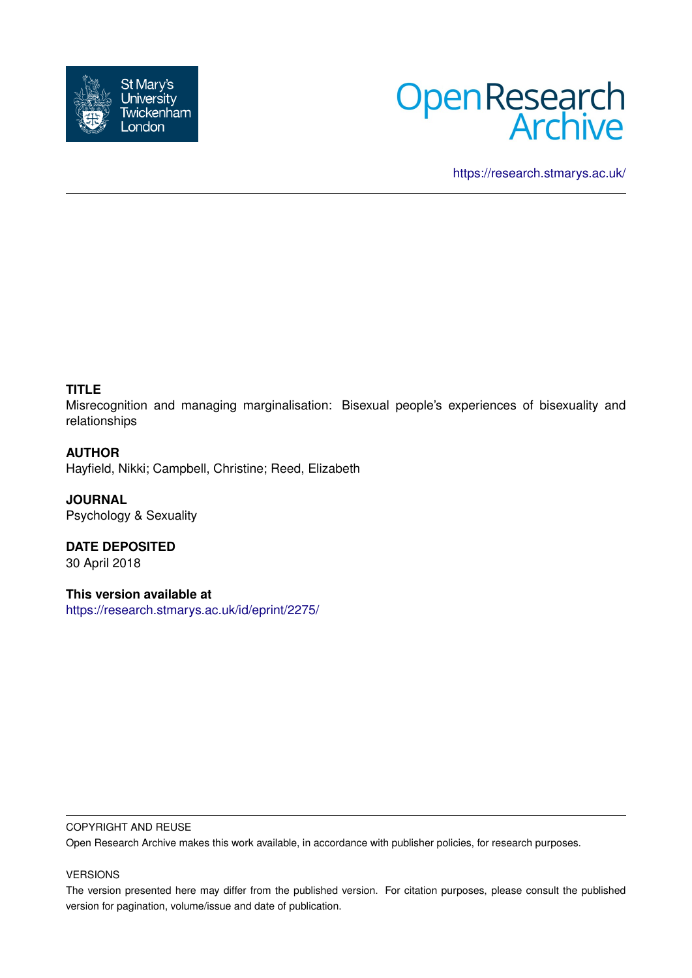



<https://research.stmarys.ac.uk/>

# **TITLE**

Misrecognition and managing marginalisation: Bisexual people's experiences of bisexuality and relationships

# **AUTHOR**

Hayfield, Nikki; Campbell, Christine; Reed, Elizabeth

**JOURNAL** Psychology & Sexuality

**DATE DEPOSITED** 30 April 2018

**This version available at** <https://research.stmarys.ac.uk/id/eprint/2275/>

#### COPYRIGHT AND REUSE

Open Research Archive makes this work available, in accordance with publisher policies, for research purposes.

#### VERSIONS

The version presented here may differ from the published version. For citation purposes, please consult the published version for pagination, volume/issue and date of publication.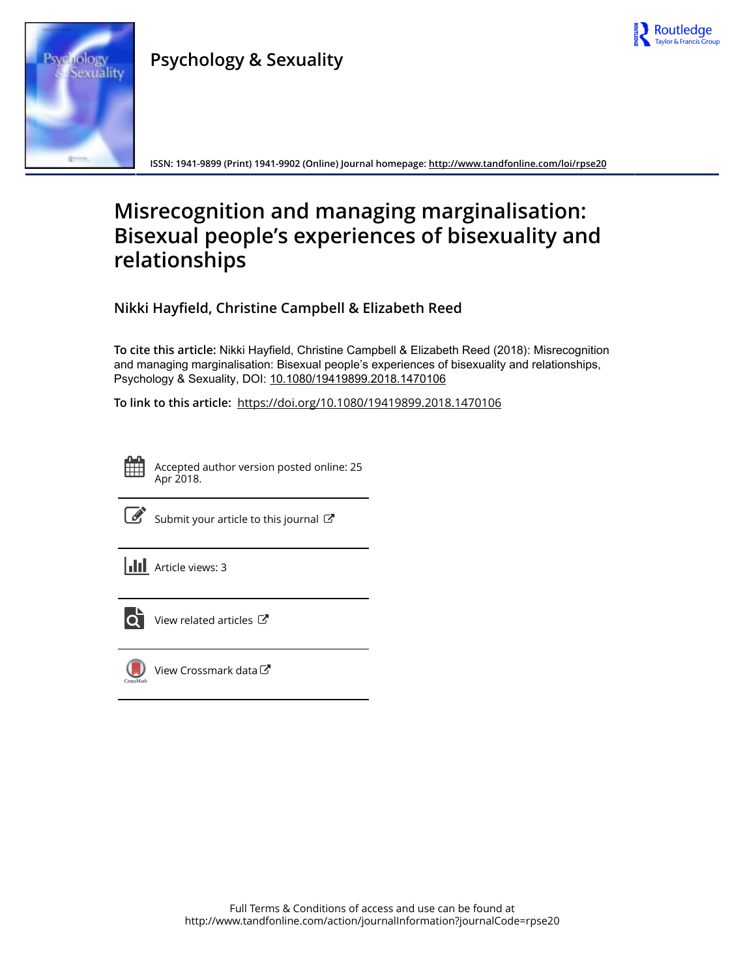

# **Psychology** Sexuality

**Psychology & Sexuality**

**ISSN: 1941-9899 (Print) 1941-9902 (Online) Journal homepage:<http://www.tandfonline.com/loi/rpse20>**

# **Misrecognition and managing marginalisation: Bisexual people's experiences of bisexuality and relationships**

**Nikki Hayfield, Christine Campbell & Elizabeth Reed**

**To cite this article:** Nikki Hayfield, Christine Campbell & Elizabeth Reed (2018): Misrecognition and managing marginalisation: Bisexual people's experiences of bisexuality and relationships, Psychology & Sexuality, DOI: [10.1080/19419899.2018.1470106](http://www.tandfonline.com/action/showCitFormats?doi=10.1080/19419899.2018.1470106)

**To link to this article:** <https://doi.org/10.1080/19419899.2018.1470106>



Accepted author version posted online: 25 Apr 2018.



 $\overline{\mathscr{L}}$  [Submit your article to this journal](http://www.tandfonline.com/action/authorSubmission?journalCode=rpse20&show=instructions)  $\mathbb{Z}$ 





[View related articles](http://www.tandfonline.com/doi/mlt/10.1080/19419899.2018.1470106)  $\mathbb{Z}$ 



[View Crossmark data](http://crossmark.crossref.org/dialog/?doi=10.1080/19419899.2018.1470106&domain=pdf&date_stamp=2018-04-25) $G$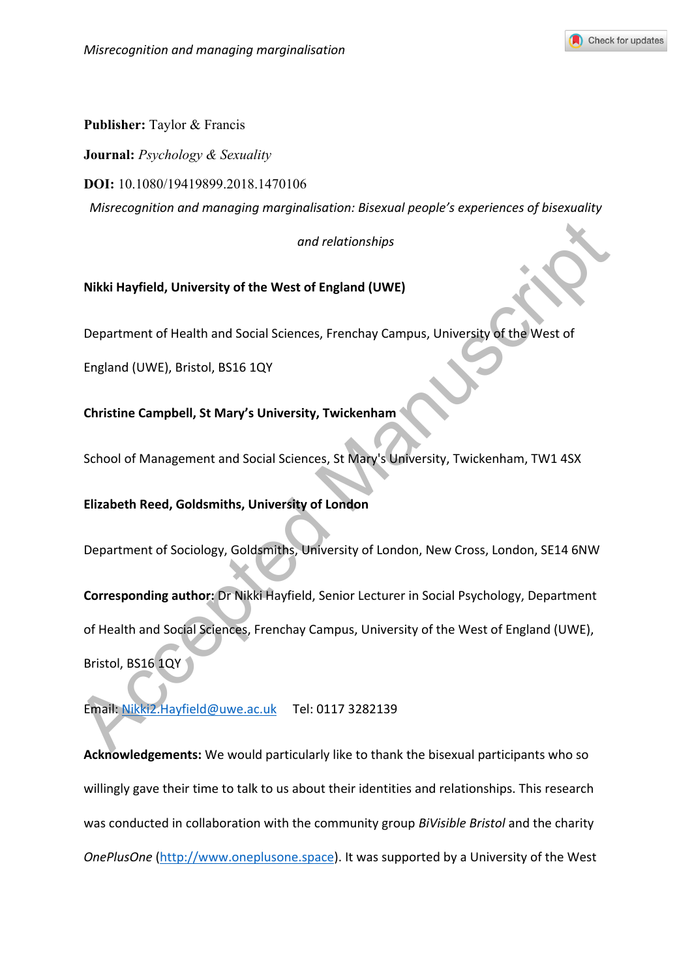

**Publisher:** Taylor & Francis

**Journal:** *Psychology & Sexuality* 

**DOI:** 10.1080/19419899.2018.1470106

*Misrecognition and managing marginalisation: Bisexual people's experiences of bisexuality* 

*and relationships* 

**Nikki Hayfield, University of the West of England (UWE)** 

Department of Health and Social Sciences, Frenchay Campus, University of the West of

England (UWE), Bristol, BS16 1QY

**Christine Campbell, St Mary's University, Twickenham** 

School of Management and Social Sciences, St Mary's University, Twickenham, TW1 4SX

**Elizabeth Reed, Goldsmiths, University of London** 

Department of Sociology, Goldsmiths, University of London, New Cross, London, SE14 6NW

and relationships<br>
Nikki Hayfield, University of the West of England (UWE)<br>
Department of Health and Social Sciences, Frenchay Campus, University of the West of<br>
England (UWE), Bristol, BS16 1QY<br>
Christine Campbell, St Mar **Corresponding author:** Dr Nikki Hayfield, Senior Lecturer in Social Psychology, Department of Health and Social Sciences, Frenchay Campus, University of the West of England (UWE), Bristol, BS16 1QY

Email: Nikki2.Hayfield@uwe.ac.uk Tel: 0117 3282139

**Acknowledgements:** We would particularly like to thank the bisexual participants who so willingly gave their time to talk to us about their identities and relationships. This research was conducted in collaboration with the community group *BiVisible Bristol* and the charity *OnePlusOne* (http://www.oneplusone.space). It was supported by a University of the West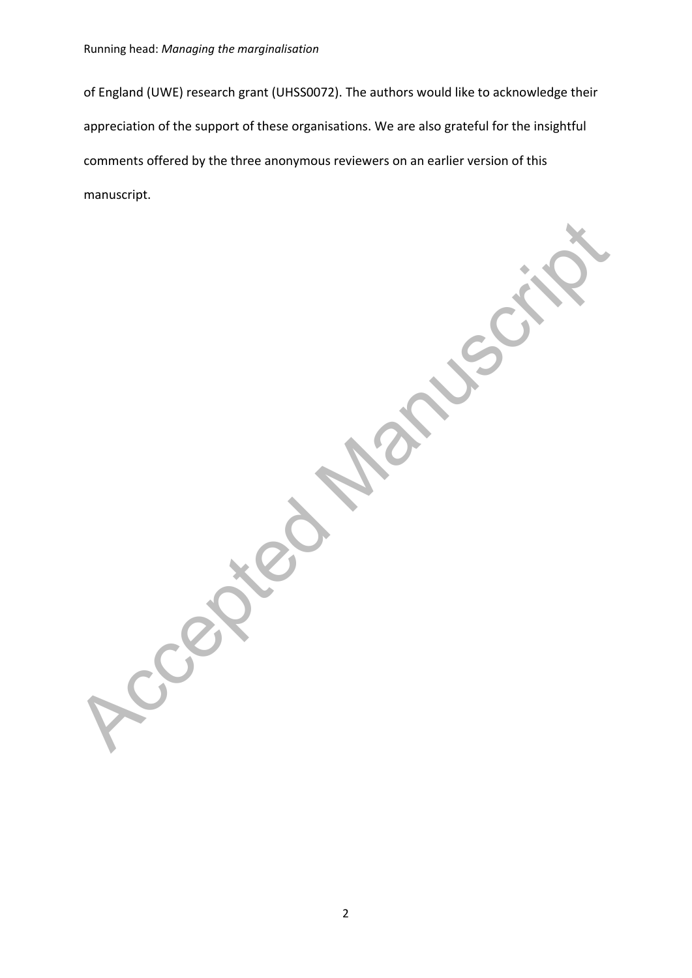of England (UWE) research grant (UHSS0072). The authors would like to acknowledge their appreciation of the support of these organisations. We are also grateful for the insightful comments offered by the three anonymous reviewers on an earlier version of this manuscript.

Accepted Manuscript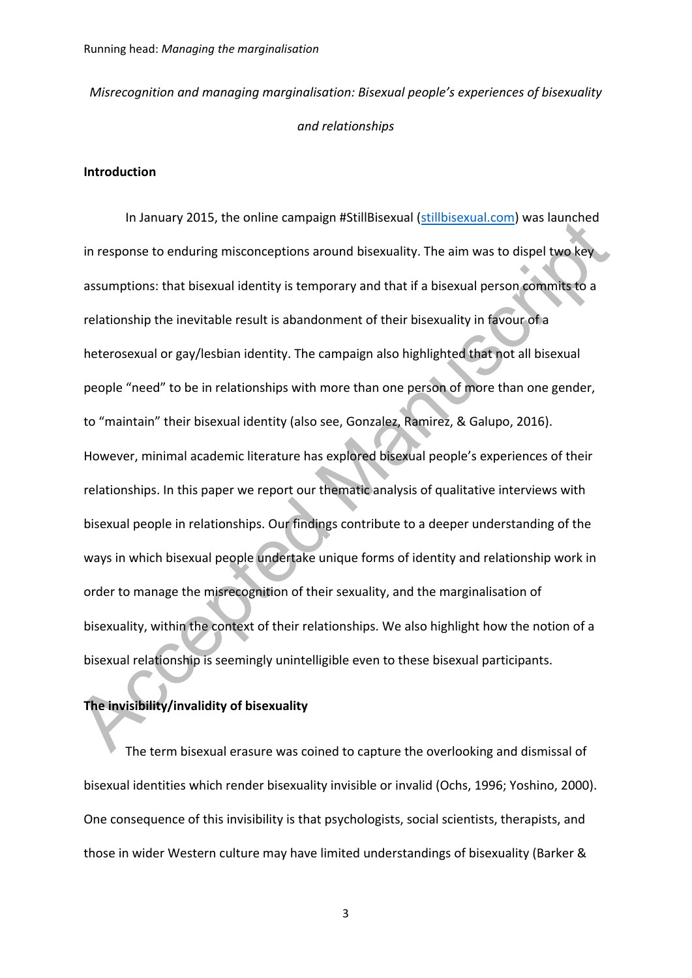*Misrecognition and managing marginalisation: Bisexual people's experiences of bisexuality and relationships* 

#### **Introduction**

In January 2013, the online campagn a subsection statution was iautholcal<br>in response to enduring misconceptions around bisexuality. The aim was to dispel two key<br>assumptions: that bisexual identity is temporary and that i In January 2015, the online campaign #StillBisexual (stillbisexual.com) was launched in response to enduring misconceptions around bisexuality. The aim was to dispel two key assumptions: that bisexual identity is temporary and that if a bisexual person commits to a relationship the inevitable result is abandonment of their bisexuality in favour of a heterosexual or gay/lesbian identity. The campaign also highlighted that not all bisexual people "need" to be in relationships with more than one person of more than one gender, to "maintain" their bisexual identity (also see, Gonzalez, Ramirez, & Galupo, 2016). However, minimal academic literature has explored bisexual people's experiences of their relationships. In this paper we report our thematic analysis of qualitative interviews with bisexual people in relationships. Our findings contribute to a deeper understanding of the ways in which bisexual people undertake unique forms of identity and relationship work in order to manage the misrecognition of their sexuality, and the marginalisation of bisexuality, within the context of their relationships. We also highlight how the notion of a bisexual relationship is seemingly unintelligible even to these bisexual participants.

## **The invisibility/invalidity of bisexuality**

The term bisexual erasure was coined to capture the overlooking and dismissal of bisexual identities which render bisexuality invisible or invalid (Ochs, 1996; Yoshino, 2000). One consequence of this invisibility is that psychologists, social scientists, therapists, and those in wider Western culture may have limited understandings of bisexuality (Barker &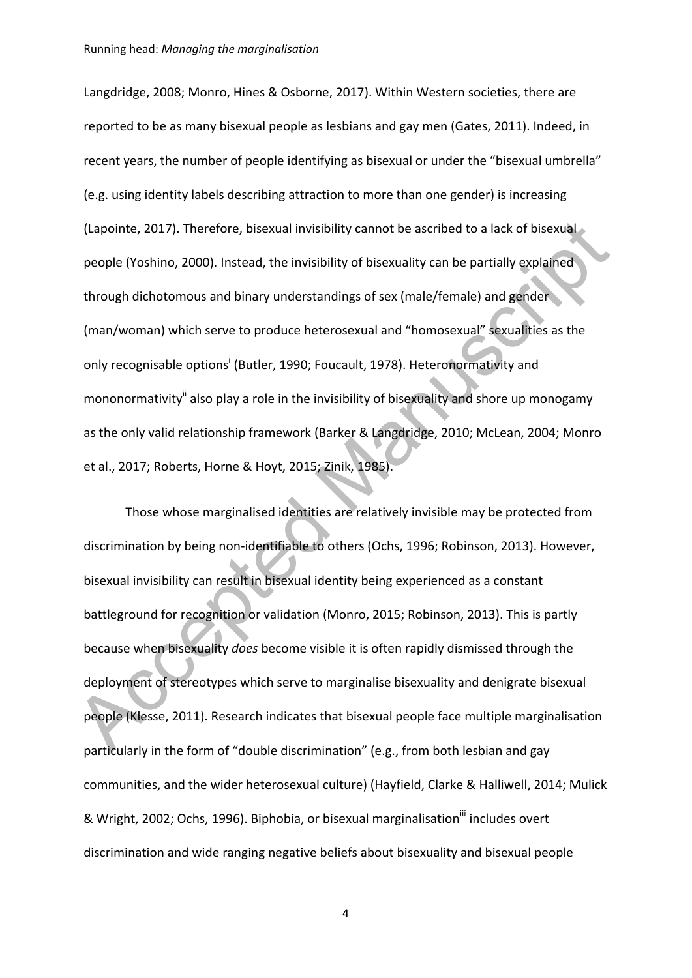(Lapointe, 2017). Therefore, bisexual invisibility cannot be ascribed to a lack of bisexual<br>people (Yoshino, 2000). Instead, the invisibility of bisexuality can be partially explained<br>through dichotomous and binary underst Langdridge, 2008; Monro, Hines & Osborne, 2017). Within Western societies, there are reported to be as many bisexual people as lesbians and gay men (Gates, 2011). Indeed, in recent years, the number of people identifying as bisexual or under the "bisexual umbrella" (e.g. using identity labels describing attraction to more than one gender) is increasing (Lapointe, 2017). Therefore, bisexual invisibility cannot be ascribed to a lack of bisexual people (Yoshino, 2000). Instead, the invisibility of bisexuality can be partially explained through dichotomous and binary understandings of sex (male/female) and gender (man/woman) which serve to produce heterosexual and "homosexual" sexualities as the only recognisable options<sup>i</sup> (Butler, 1990; Foucault, 1978). Heteronormativity and mononormativity<sup>ii</sup> also play a role in the invisibility of bisexuality and shore up monogamy as the only valid relationship framework (Barker & Langdridge, 2010; McLean, 2004; Monro et al., 2017; Roberts, Horne & Hoyt, 2015; Zinik, 1985).

Those whose marginalised identities are relatively invisible may be protected from discrimination by being non-identifiable to others (Ochs, 1996; Robinson, 2013). However, bisexual invisibility can result in bisexual identity being experienced as a constant battleground for recognition or validation (Monro, 2015; Robinson, 2013). This is partly because when bisexuality *does* become visible it is often rapidly dismissed through the deployment of stereotypes which serve to marginalise bisexuality and denigrate bisexual people (Klesse, 2011). Research indicates that bisexual people face multiple marginalisation particularly in the form of "double discrimination" (e.g., from both lesbian and gay communities, and the wider heterosexual culture) (Hayfield, Clarke & Halliwell, 2014; Mulick & Wright, 2002; Ochs, 1996). Biphobia, or bisexual marginalisation<sup>iii</sup> includes overt discrimination and wide ranging negative beliefs about bisexuality and bisexual people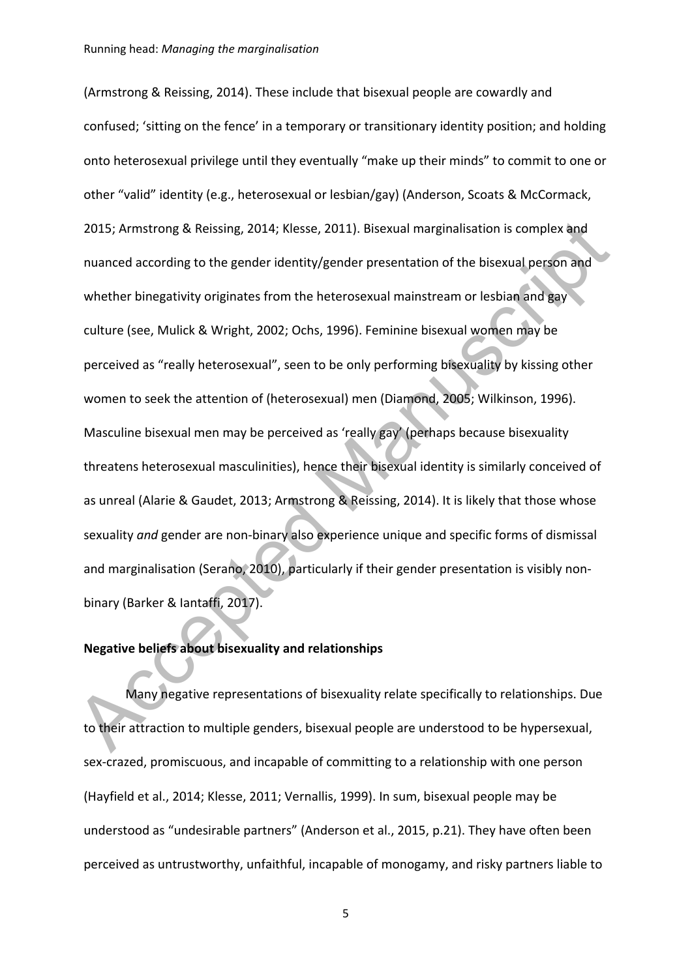2015; Armstrong & Reissing, 2014; Klesse, 2011). Bisexual marginalisation is complex and<br>nuanced according to the gender identity/gender presentation of the bisexual person and<br>whether binegativity originates from the hete (Armstrong & Reissing, 2014). These include that bisexual people are cowardly and confused; 'sitting on the fence' in a temporary or transitionary identity position; and holding onto heterosexual privilege until they eventually "make up their minds" to commit to one or other "valid" identity (e.g., heterosexual or lesbian/gay) (Anderson, Scoats & McCormack, 2015; Armstrong & Reissing, 2014; Klesse, 2011). Bisexual marginalisation is complex and nuanced according to the gender identity/gender presentation of the bisexual person and whether binegativity originates from the heterosexual mainstream or lesbian and gay culture (see, Mulick & Wright, 2002; Ochs, 1996). Feminine bisexual women may be perceived as "really heterosexual", seen to be only performing bisexuality by kissing other women to seek the attention of (heterosexual) men (Diamond, 2005; Wilkinson, 1996). Masculine bisexual men may be perceived as 'really gay' (perhaps because bisexuality threatens heterosexual masculinities), hence their bisexual identity is similarly conceived of as unreal (Alarie & Gaudet, 2013; Armstrong & Reissing, 2014). It is likely that those whose sexuality *and* gender are non-binary also experience unique and specific forms of dismissal and marginalisation (Serano, 2010), particularly if their gender presentation is visibly nonbinary (Barker & Iantaffi, 2017).

# **Negative beliefs about bisexuality and relationships**

Many negative representations of bisexuality relate specifically to relationships. Due to their attraction to multiple genders, bisexual people are understood to be hypersexual, sex-crazed, promiscuous, and incapable of committing to a relationship with one person (Hayfield et al., 2014; Klesse, 2011; Vernallis, 1999). In sum, bisexual people may be understood as "undesirable partners" (Anderson et al., 2015, p.21). They have often been perceived as untrustworthy, unfaithful, incapable of monogamy, and risky partners liable to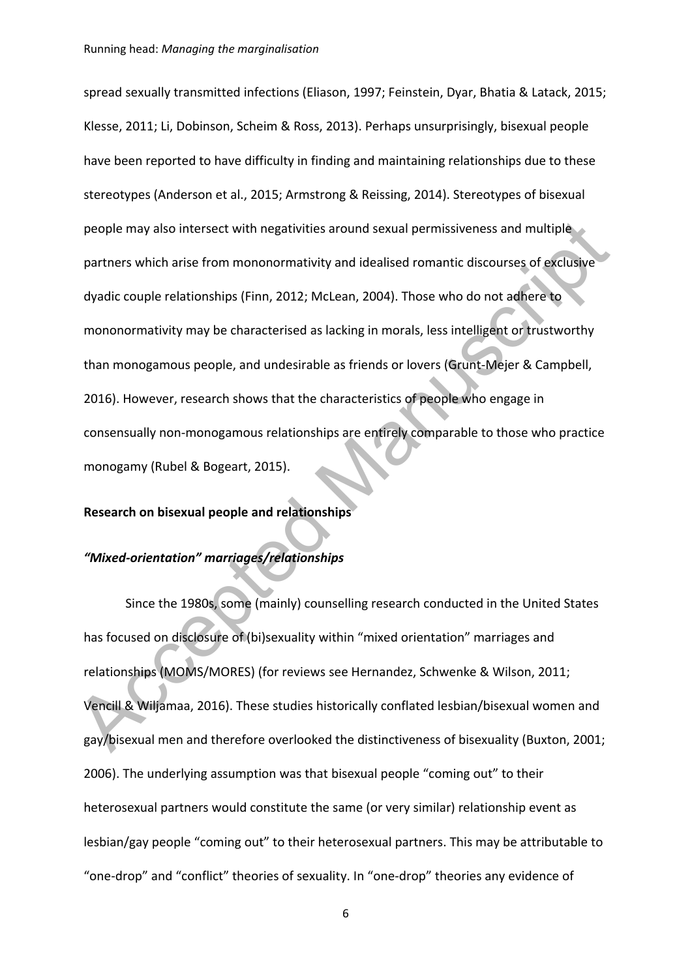people may also intersect with negativities around sexual permissiveness and multiple<br>
partners which arise from mononormativity and idealised romantic discourses of exclusive<br>
dyadic couple relationships (Finn, 2012; McLe spread sexually transmitted infections (Eliason, 1997; Feinstein, Dyar, Bhatia & Latack, 2015; Klesse, 2011; Li, Dobinson, Scheim & Ross, 2013). Perhaps unsurprisingly, bisexual people have been reported to have difficulty in finding and maintaining relationships due to these stereotypes (Anderson et al., 2015; Armstrong & Reissing, 2014). Stereotypes of bisexual people may also intersect with negativities around sexual permissiveness and multiple partners which arise from mononormativity and idealised romantic discourses of exclusive dyadic couple relationships (Finn, 2012; McLean, 2004). Those who do not adhere to mononormativity may be characterised as lacking in morals, less intelligent or trustworthy than monogamous people, and undesirable as friends or lovers (Grunt-Mejer & Campbell, 2016). However, research shows that the characteristics of people who engage in consensually non-monogamous relationships are entirely comparable to those who practice monogamy (Rubel & Bogeart, 2015).

## **Research on bisexual people and relationships**

#### *"Mixed-orientation" marriages/relationships*

Since the 1980s, some (mainly) counselling research conducted in the United States has focused on disclosure of (bi)sexuality within "mixed orientation" marriages and relationships (MOMS/MORES) (for reviews see Hernandez, Schwenke & Wilson, 2011; Vencill & Wiljamaa, 2016). These studies historically conflated lesbian/bisexual women and gay/bisexual men and therefore overlooked the distinctiveness of bisexuality (Buxton, 2001; 2006). The underlying assumption was that bisexual people "coming out" to their heterosexual partners would constitute the same (or very similar) relationship event as lesbian/gay people "coming out" to their heterosexual partners. This may be attributable to "one-drop" and "conflict" theories of sexuality. In "one-drop" theories any evidence of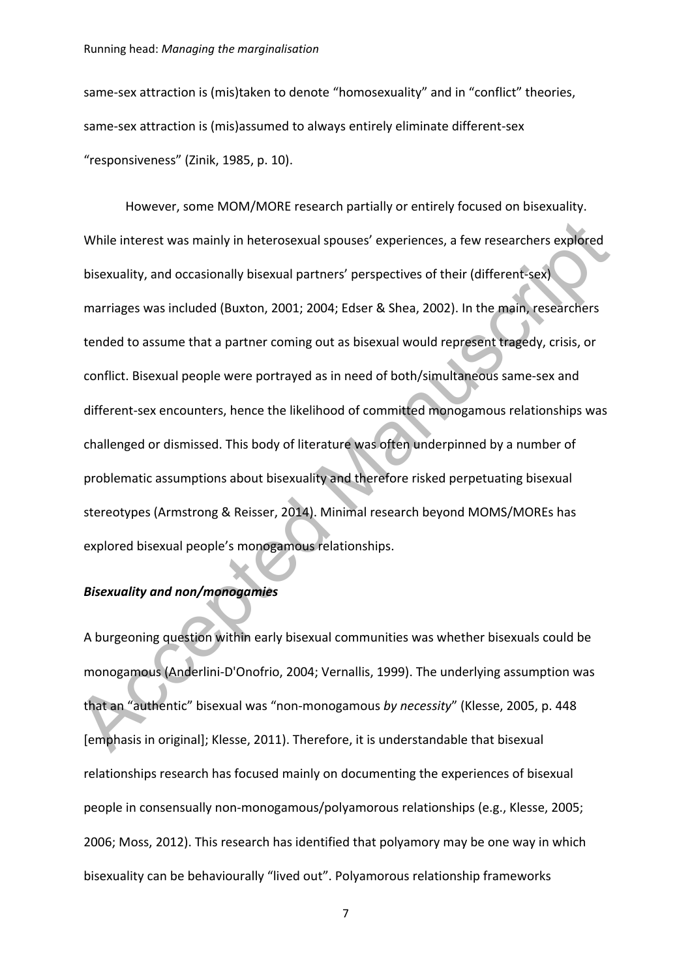#### Running head: *Managing the marginalisation*

same-sex attraction is (mis)taken to denote "homosexuality" and in "conflict" theories, same-sex attraction is (mis)assumed to always entirely eliminate different-sex "responsiveness" (Zinik, 1985, p. 10).

While interest was mainly in heterosexual spouses' experiences, a few researchers explored<br>bisexuality, and occasionally bisexual partners' perspectives of their (different-sex)<br>marriages was included (Buxton, 2001; 2004; However, some MOM/MORE research partially or entirely focused on bisexuality. While interest was mainly in heterosexual spouses' experiences, a few researchers explored bisexuality, and occasionally bisexual partners' perspectives of their (different-sex) marriages was included (Buxton, 2001; 2004; Edser & Shea, 2002). In the main, researchers tended to assume that a partner coming out as bisexual would represent tragedy, crisis, or conflict. Bisexual people were portrayed as in need of both/simultaneous same-sex and different-sex encounters, hence the likelihood of committed monogamous relationships was challenged or dismissed. This body of literature was often underpinned by a number of problematic assumptions about bisexuality and therefore risked perpetuating bisexual stereotypes (Armstrong & Reisser, 2014). Minimal research beyond MOMS/MOREs has explored bisexual people's monogamous relationships.

# *Bisexuality and non/monogamies*

A burgeoning question within early bisexual communities was whether bisexuals could be monogamous (Anderlini-D'Onofrio, 2004; Vernallis, 1999). The underlying assumption was that an "authentic" bisexual was "non-monogamous *by necessity*" (Klesse, 2005, p. 448 [emphasis in original]; Klesse, 2011). Therefore, it is understandable that bisexual relationships research has focused mainly on documenting the experiences of bisexual people in consensually non-monogamous/polyamorous relationships (e.g., Klesse, 2005; 2006; Moss, 2012). This research has identified that polyamory may be one way in which bisexuality can be behaviourally "lived out". Polyamorous relationship frameworks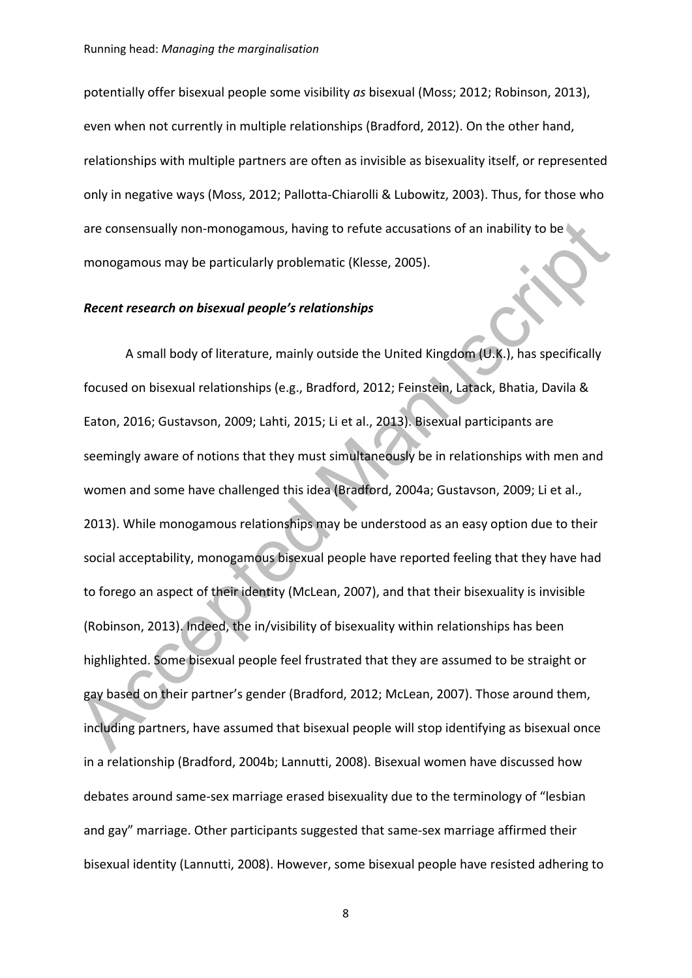potentially offer bisexual people some visibility *as* bisexual (Moss; 2012; Robinson, 2013), even when not currently in multiple relationships (Bradford, 2012). On the other hand, relationships with multiple partners are often as invisible as bisexuality itself, or represented only in negative ways (Moss, 2012; Pallotta-Chiarolli & Lubowitz, 2003). Thus, for those who are consensually non-monogamous, having to refute accusations of an inability to be monogamous may be particularly problematic (Klesse, 2005).

#### *Recent research on bisexual people's relationships*

are consensually non-monogamous, having to refute accusations of an inability to be<br>
monogamous may be particularly problematic (Klesse, 2005).<br> **Recent research on bisexual people's relationships**<br>
A small body of literat A small body of literature, mainly outside the United Kingdom (U.K.), has specifically focused on bisexual relationships (e.g., Bradford, 2012; Feinstein, Latack, Bhatia, Davila & Eaton, 2016; Gustavson, 2009; Lahti, 2015; Li et al., 2013). Bisexual participants are seemingly aware of notions that they must simultaneously be in relationships with men and women and some have challenged this idea (Bradford, 2004a; Gustavson, 2009; Li et al., 2013). While monogamous relationships may be understood as an easy option due to their social acceptability, monogamous bisexual people have reported feeling that they have had to forego an aspect of their identity (McLean, 2007), and that their bisexuality is invisible (Robinson, 2013). Indeed, the in/visibility of bisexuality within relationships has been highlighted. Some bisexual people feel frustrated that they are assumed to be straight or gay based on their partner's gender (Bradford, 2012; McLean, 2007). Those around them, including partners, have assumed that bisexual people will stop identifying as bisexual once in a relationship (Bradford, 2004b; Lannutti, 2008). Bisexual women have discussed how debates around same-sex marriage erased bisexuality due to the terminology of "lesbian and gay" marriage. Other participants suggested that same-sex marriage affirmed their bisexual identity (Lannutti, 2008). However, some bisexual people have resisted adhering to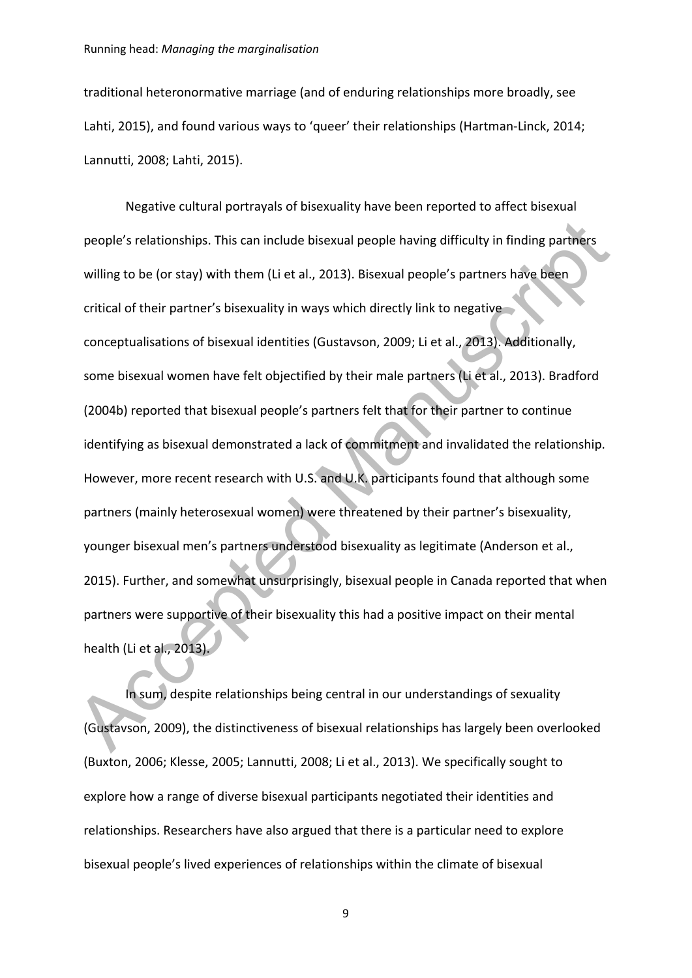traditional heteronormative marriage (and of enduring relationships more broadly, see Lahti, 2015), and found various ways to 'queer' their relationships (Hartman-Linck, 2014; Lannutti, 2008; Lahti, 2015).

people's relationships. This can include bisexual people having difficulty in finding partners<br>willing to be (or stay) with them (Li et al., 2013). Bisexual people's partners have been<br>ertitical of their partner's bisexual Negative cultural portrayals of bisexuality have been reported to affect bisexual people's relationships. This can include bisexual people having difficulty in finding partners willing to be (or stay) with them (Li et al., 2013). Bisexual people's partners have been critical of their partner's bisexuality in ways which directly link to negative conceptualisations of bisexual identities (Gustavson, 2009; Li et al., 2013). Additionally, some bisexual women have felt objectified by their male partners (Li et al., 2013). Bradford (2004b) reported that bisexual people's partners felt that for their partner to continue identifying as bisexual demonstrated a lack of commitment and invalidated the relationship. However, more recent research with U.S. and U.K. participants found that although some partners (mainly heterosexual women) were threatened by their partner's bisexuality, younger bisexual men's partners understood bisexuality as legitimate (Anderson et al., 2015). Further, and somewhat unsurprisingly, bisexual people in Canada reported that when partners were supportive of their bisexuality this had a positive impact on their mental health (Li et al., 2013).

In sum, despite relationships being central in our understandings of sexuality (Gustavson, 2009), the distinctiveness of bisexual relationships has largely been overlooked (Buxton, 2006; Klesse, 2005; Lannutti, 2008; Li et al., 2013). We specifically sought to explore how a range of diverse bisexual participants negotiated their identities and relationships. Researchers have also argued that there is a particular need to explore bisexual people's lived experiences of relationships within the climate of bisexual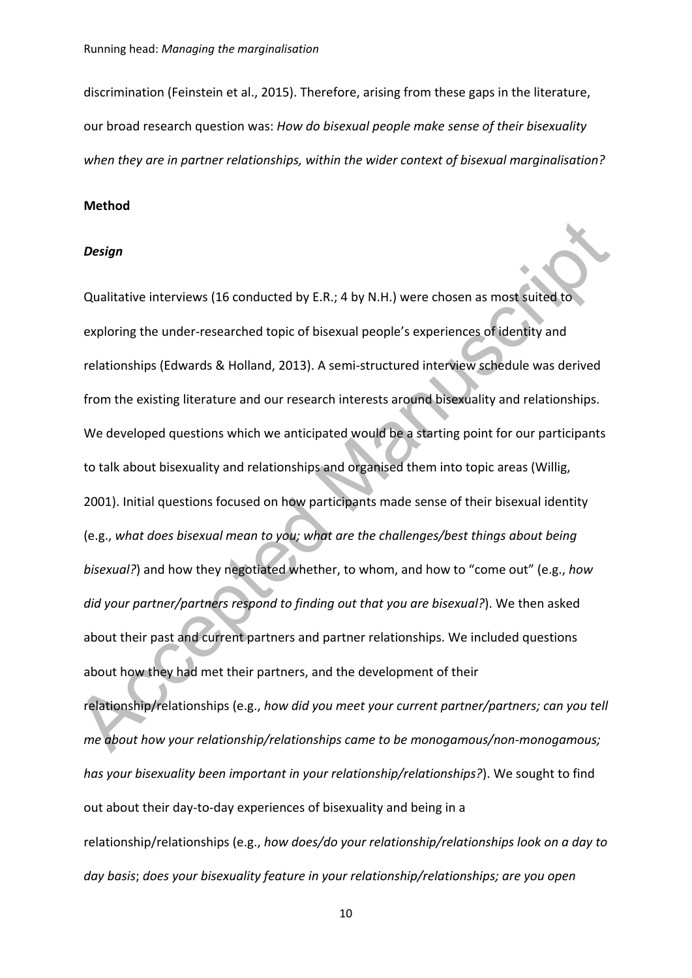discrimination (Feinstein et al., 2015). Therefore, arising from these gaps in the literature, our broad research question was: *How do bisexual people make sense of their bisexuality when they are in partner relationships, within the wider context of bisexual marginalisation?*

#### **Method**

#### *Design*

**Design**<br>
Qualitative interviews (16 conducted by E.R.; 4 by N.H.) were chosen as most suited to<br>
exploring the under-researched topic of bisexual people's experiences of identity and<br>
relationships (Edwards & Holland, 201 Qualitative interviews (16 conducted by E.R.; 4 by N.H.) were chosen as most suited to exploring the under-researched topic of bisexual people's experiences of identity and relationships (Edwards & Holland, 2013). A semi-structured interview schedule was derived from the existing literature and our research interests around bisexuality and relationships. We developed questions which we anticipated would be a starting point for our participants to talk about bisexuality and relationships and organised them into topic areas (Willig, 2001). Initial questions focused on how participants made sense of their bisexual identity (e.g., *what does bisexual mean to you; what are the challenges/best things about being bisexual?*) and how they negotiated whether, to whom, and how to "come out" (e.g., *how did your partner/partners respond to finding out that you are bisexual?*). We then asked about their past and current partners and partner relationships. We included questions about how they had met their partners, and the development of their relationship/relationships (e.g., *how did you meet your current partner/partners; can you tell me about how your relationship/relationships came to be monogamous/non-monogamous; has your bisexuality been important in your relationship/relationships?*). We sought to find out about their day-to-day experiences of bisexuality and being in a relationship/relationships (e.g., *how does/do your relationship/relationships look on a day to day basis*; *does your bisexuality feature in your relationship/relationships; are you open*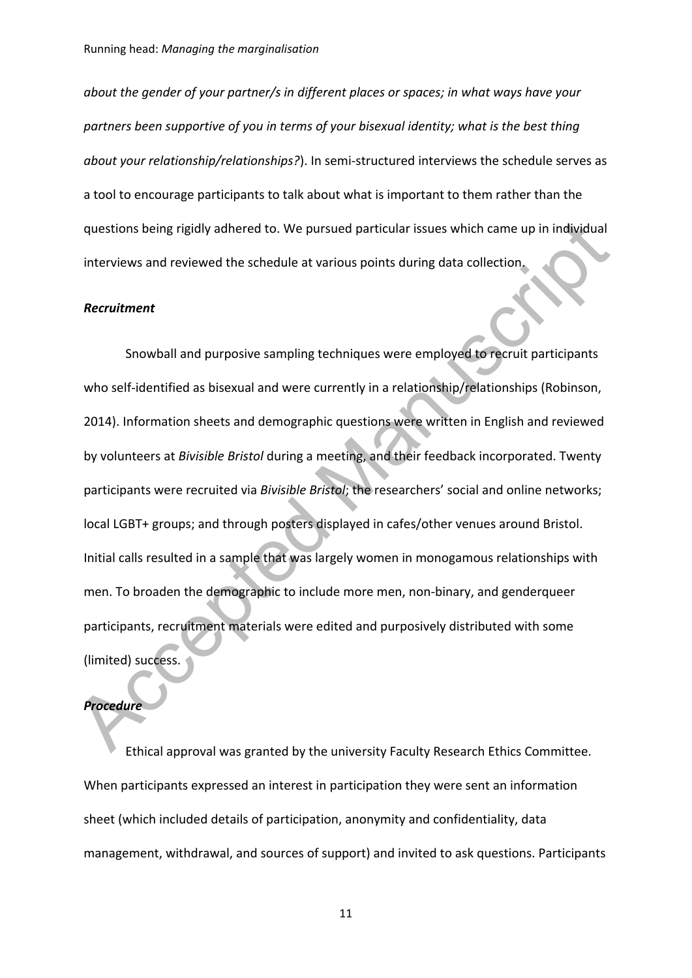*about the gender of your partner/s in different places or spaces; in what ways have your partners been supportive of you in terms of your bisexual identity; what is the best thing about your relationship/relationships?*). In semi-structured interviews the schedule serves as a tool to encourage participants to talk about what is important to them rather than the questions being rigidly adhered to. We pursued particular issues which came up in individual interviews and reviewed the schedule at various points during data collection.

#### *Recruitment*

questions being rigidly adhered to. We pursued particular issues which came up in individual<br>
interviews and reviewed the schedule at various points during data collection.<br> **Recruitment**<br>
Snowball and purposive sampling t Snowball and purposive sampling techniques were employed to recruit participants who self-identified as bisexual and were currently in a relationship/relationships (Robinson, 2014). Information sheets and demographic questions were written in English and reviewed by volunteers at *Bivisible Bristol* during a meeting, and their feedback incorporated. Twenty participants were recruited via *Bivisible Bristol*; the researchers' social and online networks; local LGBT+ groups; and through posters displayed in cafes/other venues around Bristol. Initial calls resulted in a sample that was largely women in monogamous relationships with men. To broaden the demographic to include more men, non-binary, and genderqueer participants, recruitment materials were edited and purposively distributed with some (limited) success.

#### *Procedure*

Ethical approval was granted by the university Faculty Research Ethics Committee. When participants expressed an interest in participation they were sent an information sheet (which included details of participation, anonymity and confidentiality, data management, withdrawal, and sources of support) and invited to ask questions. Participants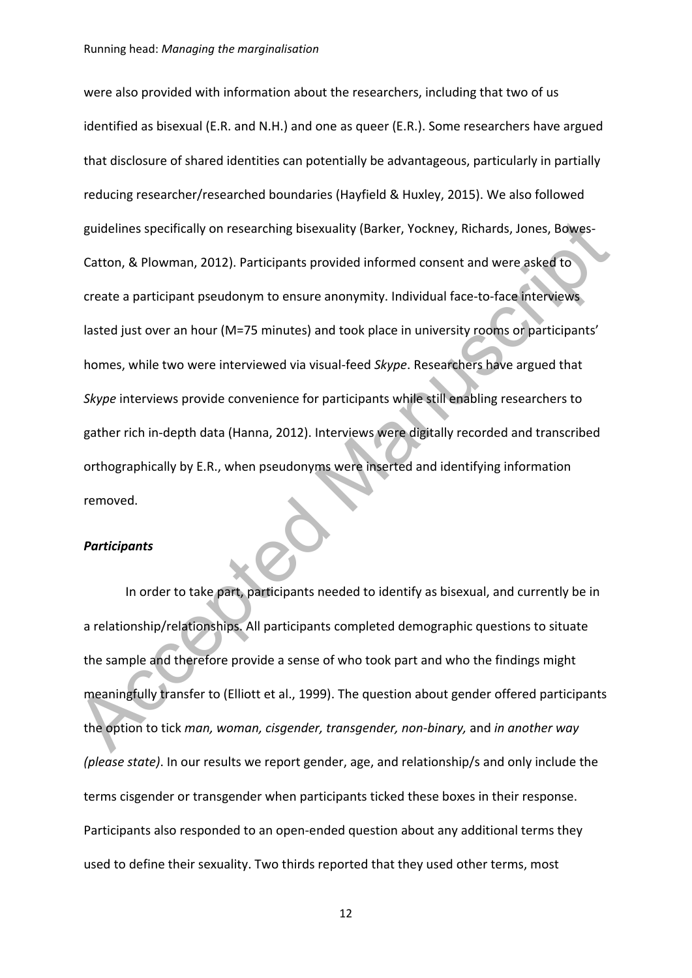guidelines specifically on researching bisexuality (Barker, Yockney, Richards, Jones, Bowes-<br>Catton, & Plowman, 2012). Participants provided informed consent and were asked to<br>create a participant pseudonym to ensure anony were also provided with information about the researchers, including that two of us identified as bisexual (E.R. and N.H.) and one as queer (E.R.). Some researchers have argued that disclosure of shared identities can potentially be advantageous, particularly in partially reducing researcher/researched boundaries (Hayfield & Huxley, 2015). We also followed guidelines specifically on researching bisexuality (Barker, Yockney, Richards, Jones, Bowes-Catton, & Plowman, 2012). Participants provided informed consent and were asked to create a participant pseudonym to ensure anonymity. Individual face-to-face interviews lasted just over an hour (M=75 minutes) and took place in university rooms or participants' homes, while two were interviewed via visual-feed *Skype*. Researchers have argued that *Skype* interviews provide convenience for participants while still enabling researchers to gather rich in-depth data (Hanna, 2012). Interviews were digitally recorded and transcribed orthographically by E.R., when pseudonyms were inserted and identifying information removed.

#### *Participants*

In order to take part, participants needed to identify as bisexual, and currently be in a relationship/relationships. All participants completed demographic questions to situate the sample and therefore provide a sense of who took part and who the findings might meaningfully transfer to (Elliott et al., 1999). The question about gender offered participants the option to tick *man, woman, cisgender, transgender, non-binary,* and *in another way (please state)*. In our results we report gender, age, and relationship/s and only include the terms cisgender or transgender when participants ticked these boxes in their response. Participants also responded to an open-ended question about any additional terms they used to define their sexuality. Two thirds reported that they used other terms, most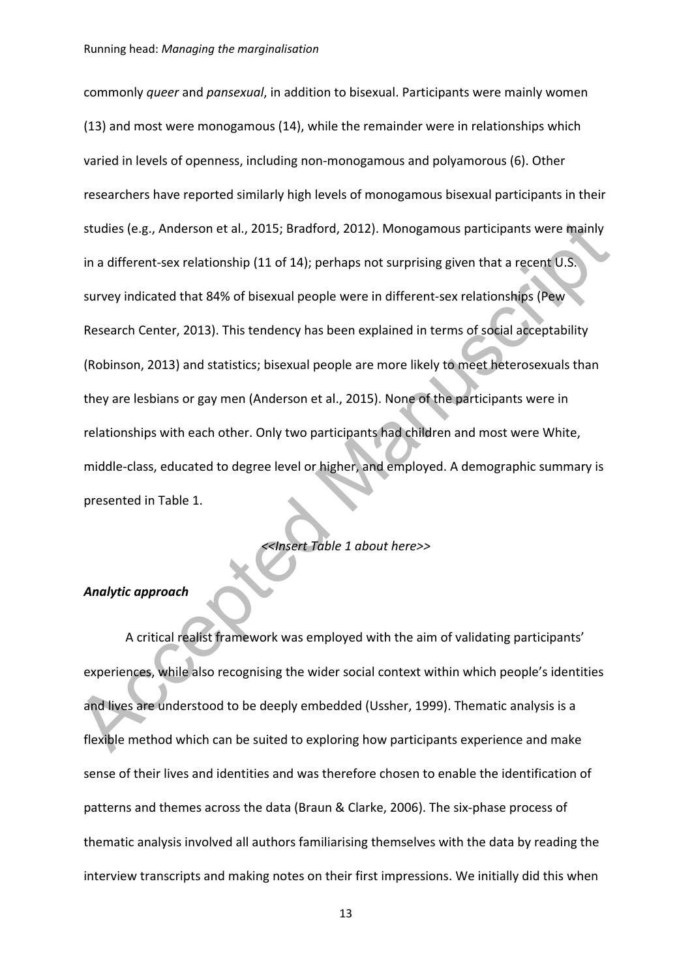studies (e.g., Anderson et al., 2015; Bradford, 2012). Monogamous participants were mainly<br>
in a different-sex relationship (11 of 14); perhaps not surprising given that a recent U.S.<br>
survey indicated that 84% of bisexual commonly *queer* and *pansexual*, in addition to bisexual. Participants were mainly women (13) and most were monogamous (14), while the remainder were in relationships which varied in levels of openness, including non-monogamous and polyamorous (6). Other researchers have reported similarly high levels of monogamous bisexual participants in their studies (e.g., Anderson et al., 2015; Bradford, 2012). Monogamous participants were mainly in a different-sex relationship (11 of 14); perhaps not surprising given that a recent U.S. survey indicated that 84% of bisexual people were in different-sex relationships (Pew Research Center, 2013). This tendency has been explained in terms of social acceptability (Robinson, 2013) and statistics; bisexual people are more likely to meet heterosexuals than they are lesbians or gay men (Anderson et al., 2015). None of the participants were in relationships with each other. Only two participants had children and most were White, middle-class, educated to degree level or higher, and employed. A demographic summary is presented in Table 1.

*<<Insert Table 1 about here>>* 

## *Analytic approach*

A critical realist framework was employed with the aim of validating participants' experiences, while also recognising the wider social context within which people's identities and lives are understood to be deeply embedded (Ussher, 1999). Thematic analysis is a flexible method which can be suited to exploring how participants experience and make sense of their lives and identities and was therefore chosen to enable the identification of patterns and themes across the data (Braun & Clarke, 2006). The six-phase process of thematic analysis involved all authors familiarising themselves with the data by reading the interview transcripts and making notes on their first impressions. We initially did this when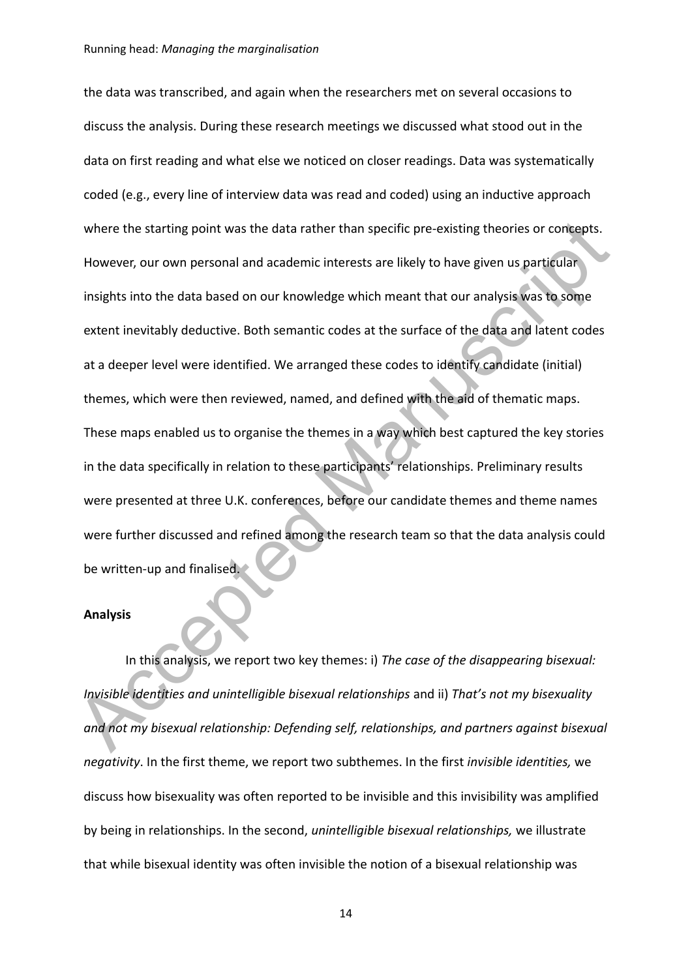where the starting point was the data rather than specific pre-existing theories or concepts.<br>
However, our own personal and academic interests are likely to have given us particular<br>
insights into the data based on our kn the data was transcribed, and again when the researchers met on several occasions to discuss the analysis. During these research meetings we discussed what stood out in the data on first reading and what else we noticed on closer readings. Data was systematically coded (e.g., every line of interview data was read and coded) using an inductive approach where the starting point was the data rather than specific pre-existing theories or concepts. However, our own personal and academic interests are likely to have given us particular insights into the data based on our knowledge which meant that our analysis was to some extent inevitably deductive. Both semantic codes at the surface of the data and latent codes at a deeper level were identified. We arranged these codes to identify candidate (initial) themes, which were then reviewed, named, and defined with the aid of thematic maps. These maps enabled us to organise the themes in a way which best captured the key stories in the data specifically in relation to these participants' relationships. Preliminary results were presented at three U.K. conferences, before our candidate themes and theme names were further discussed and refined among the research team so that the data analysis could be written-up and finalised.

#### **Analysis**

In this analysis, we report two key themes: i) *The case of the disappearing bisexual: Invisible identities and unintelligible bisexual relationships* and ii) *That's not my bisexuality and not my bisexual relationship: Defending self, relationships, and partners against bisexual negativity*. In the first theme, we report two subthemes. In the first *invisible identities,* we discuss how bisexuality was often reported to be invisible and this invisibility was amplified by being in relationships. In the second, *unintelligible bisexual relationships,* we illustrate that while bisexual identity was often invisible the notion of a bisexual relationship was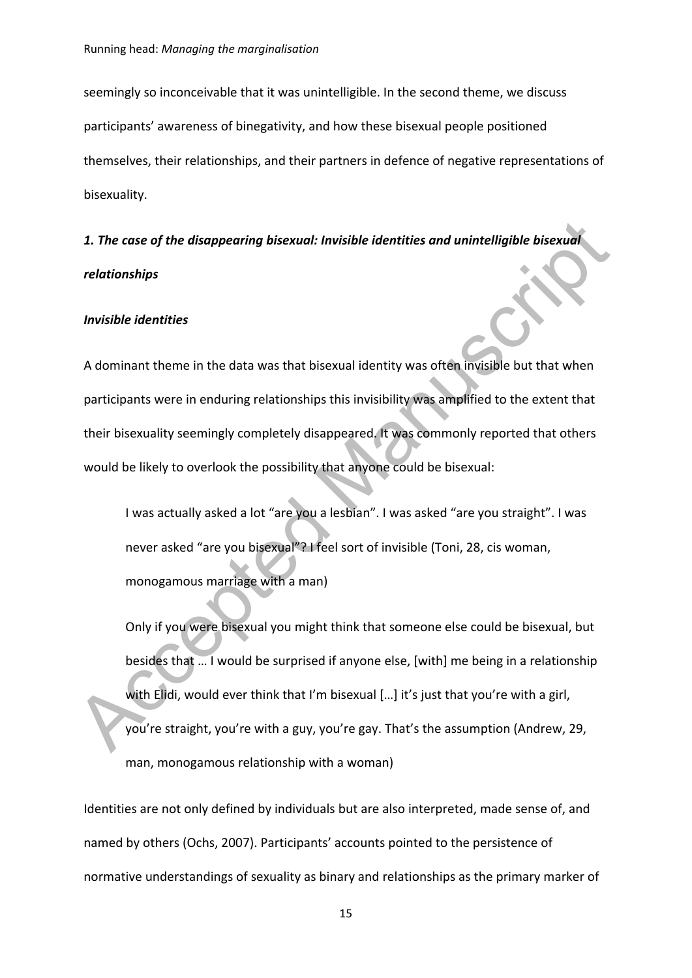seemingly so inconceivable that it was unintelligible. In the second theme, we discuss participants' awareness of binegativity, and how these bisexual people positioned themselves, their relationships, and their partners in defence of negative representations of bisexuality.

*1. The case of the disappearing bisexual: Invisible identities and unintelligible bisexual relationships* 

#### *Invisible identities*

A dominant theme in the data was that bisexual identity was often invisible but that when participants were in enduring relationships this invisibility was amplified to the extent that their bisexuality seemingly completely disappeared. It was commonly reported that others would be likely to overlook the possibility that anyone could be bisexual:

I was actually asked a lot "are you a lesbian". I was asked "are you straight". I was never asked "are you bisexual"? I feel sort of invisible (Toni, 28, cis woman, monogamous marriage with a man)

1. The case of the disappearing bisexual: Invisible identities and unintelligible bisexual<br>
relationships<br>
A dominant theme in the data was that bisexual identity was often invisible but that when<br>
participants were in en Only if you were bisexual you might think that someone else could be bisexual, but besides that … I would be surprised if anyone else, [with] me being in a relationship with Elidi, would ever think that I'm bisexual [...] it's just that you're with a girl, you're straight, you're with a guy, you're gay. That's the assumption (Andrew, 29, man, monogamous relationship with a woman)

Identities are not only defined by individuals but are also interpreted, made sense of, and named by others (Ochs, 2007). Participants' accounts pointed to the persistence of normative understandings of sexuality as binary and relationships as the primary marker of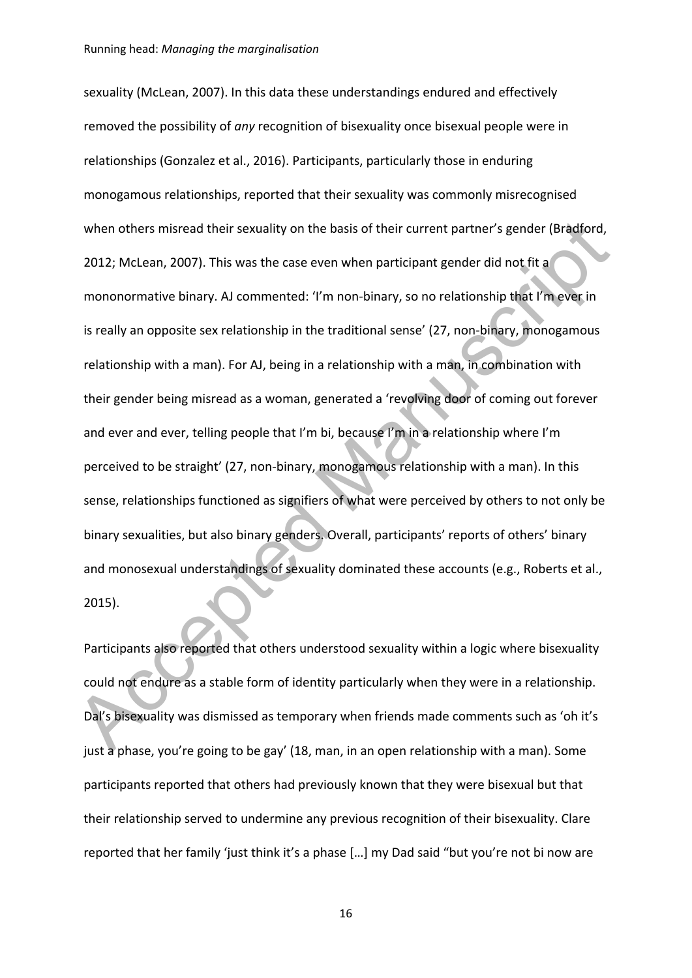when others misread their sexuality on the basis of their current partner's gender (Bradford,<br>
2012; McLean, 2007). This was the case even when participant gender did not fit a<br>
mononormative binary. AI commented: 'I'm no sexuality (McLean, 2007). In this data these understandings endured and effectively removed the possibility of *any* recognition of bisexuality once bisexual people were in relationships (Gonzalez et al., 2016). Participants, particularly those in enduring monogamous relationships, reported that their sexuality was commonly misrecognised when others misread their sexuality on the basis of their current partner's gender (Bradford, 2012; McLean, 2007). This was the case even when participant gender did not fit a mononormative binary. AJ commented: 'I'm non-binary, so no relationship that I'm ever in is really an opposite sex relationship in the traditional sense' (27, non-binary, monogamous relationship with a man). For AJ, being in a relationship with a man, in combination with their gender being misread as a woman, generated a 'revolving door of coming out forever and ever and ever, telling people that I'm bi, because I'm in a relationship where I'm perceived to be straight' (27, non-binary, monogamous relationship with a man). In this sense, relationships functioned as signifiers of what were perceived by others to not only be binary sexualities, but also binary genders. Overall, participants' reports of others' binary and monosexual understandings of sexuality dominated these accounts (e.g., Roberts et al., 2015).

Participants also reported that others understood sexuality within a logic where bisexuality could not endure as a stable form of identity particularly when they were in a relationship. Dal's bisexuality was dismissed as temporary when friends made comments such as 'oh it's just a phase, you're going to be gay' (18, man, in an open relationship with a man). Some participants reported that others had previously known that they were bisexual but that their relationship served to undermine any previous recognition of their bisexuality. Clare reported that her family 'just think it's a phase […] my Dad said "but you're not bi now are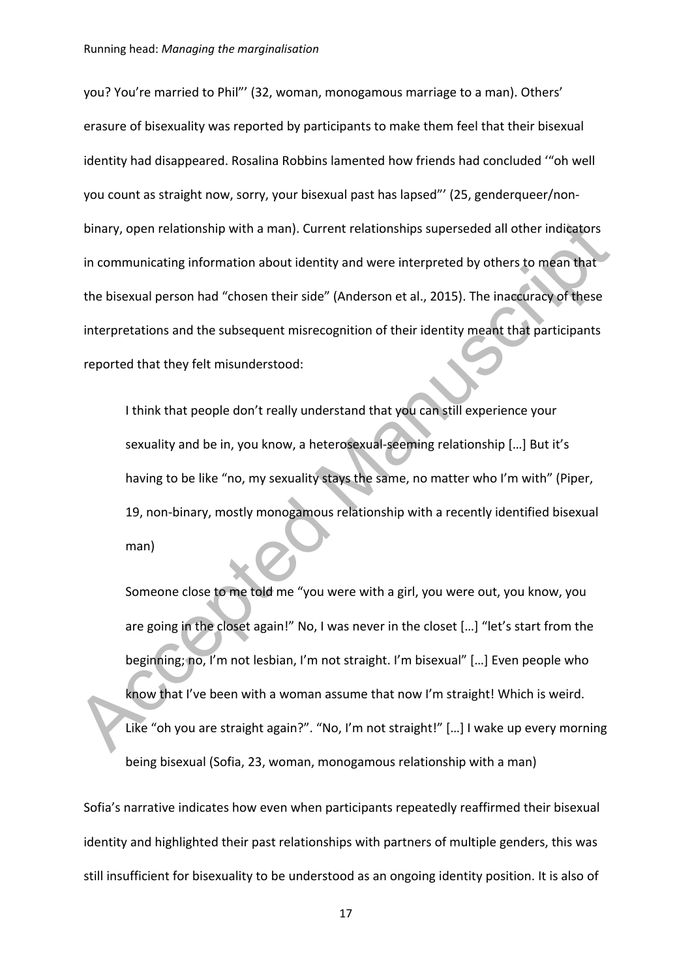you? You're married to Phil"' (32, woman, monogamous marriage to a man). Others' erasure of bisexuality was reported by participants to make them feel that their bisexual identity had disappeared. Rosalina Robbins lamented how friends had concluded '"oh well you count as straight now, sorry, your bisexual past has lapsed"' (25, genderqueer/nonbinary, open relationship with a man). Current relationships superseded all other indicators in communicating information about identity and were interpreted by others to mean that the bisexual person had "chosen their side" (Anderson et al., 2015). The inaccuracy of these interpretations and the subsequent misrecognition of their identity meant that participants reported that they felt misunderstood:

I think that people don't really understand that you can still experience your sexuality and be in, you know, a heterosexual-seeming relationship […] But it's having to be like "no, my sexuality stays the same, no matter who I'm with" (Piper, 19, non-binary, mostly monogamous relationship with a recently identified bisexual man)

binary, open relationship with a man). Current relationships superseded all other indicators<br>
in communicating information about identity and were interpreted by others to mean that<br>
the bisexual person had "chosen their s Someone close to me told me "you were with a girl, you were out, you know, you are going in the closet again!" No, I was never in the closet […] "let's start from the beginning; no, I'm not lesbian, I'm not straight. I'm bisexual" […] Even people who know that I've been with a woman assume that now I'm straight! Which is weird. Like "oh you are straight again?". "No, I'm not straight!" […] I wake up every morning being bisexual (Sofia, 23, woman, monogamous relationship with a man)

Sofia's narrative indicates how even when participants repeatedly reaffirmed their bisexual identity and highlighted their past relationships with partners of multiple genders, this was still insufficient for bisexuality to be understood as an ongoing identity position. It is also of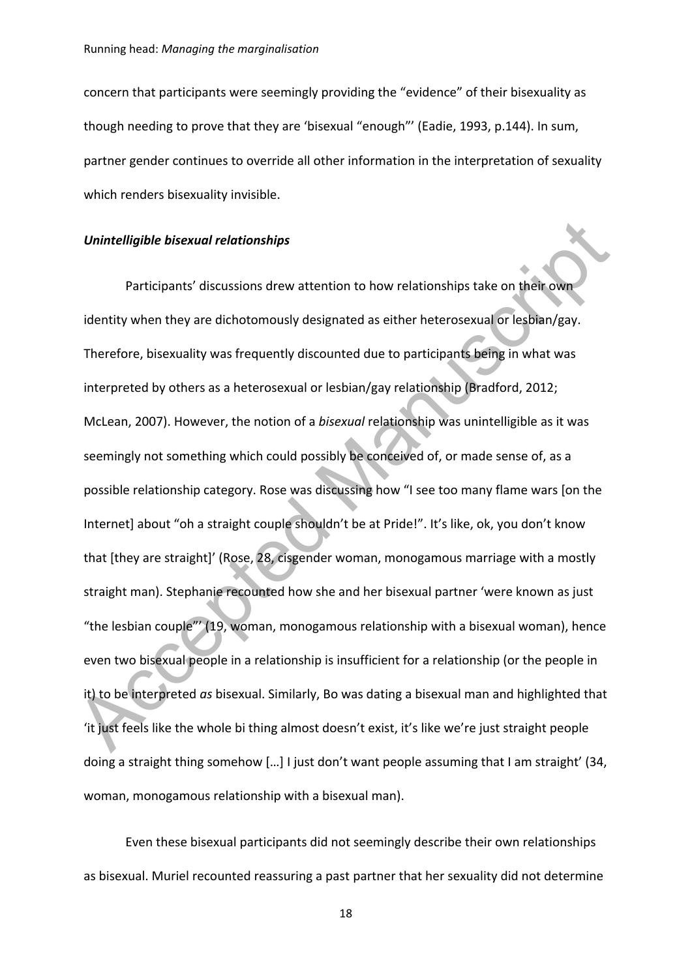concern that participants were seemingly providing the "evidence" of their bisexuality as though needing to prove that they are 'bisexual "enough"' (Eadie, 1993, p.144). In sum, partner gender continues to override all other information in the interpretation of sexuality which renders bisexuality invisible.

#### *Unintelligible bisexual relationships*

Unintelligible bisexual relationships<br>
Participants' discussions drew attention to how relationships take on the town<br>
identity when they are dichotomously designated as either heterosexual or lesbian/gay.<br>
Therefore, bis Participants' discussions drew attention to how relationships take on their own identity when they are dichotomously designated as either heterosexual or lesbian/gay. Therefore, bisexuality was frequently discounted due to participants being in what was interpreted by others as a heterosexual or lesbian/gay relationship (Bradford, 2012; McLean, 2007). However, the notion of a *bisexual* relationship was unintelligible as it was seemingly not something which could possibly be conceived of, or made sense of, as a possible relationship category. Rose was discussing how "I see too many flame wars [on the Internet] about "oh a straight couple shouldn't be at Pride!". It's like, ok, you don't know that [they are straight]' (Rose, 28, cisgender woman, monogamous marriage with a mostly straight man). Stephanie recounted how she and her bisexual partner 'were known as just "the lesbian couple"' (19, woman, monogamous relationship with a bisexual woman), hence even two bisexual people in a relationship is insufficient for a relationship (or the people in it) to be interpreted *as* bisexual. Similarly, Bo was dating a bisexual man and highlighted that 'it just feels like the whole bi thing almost doesn't exist, it's like we're just straight people doing a straight thing somehow […] I just don't want people assuming that I am straight' (34, woman, monogamous relationship with a bisexual man).

Even these bisexual participants did not seemingly describe their own relationships as bisexual. Muriel recounted reassuring a past partner that her sexuality did not determine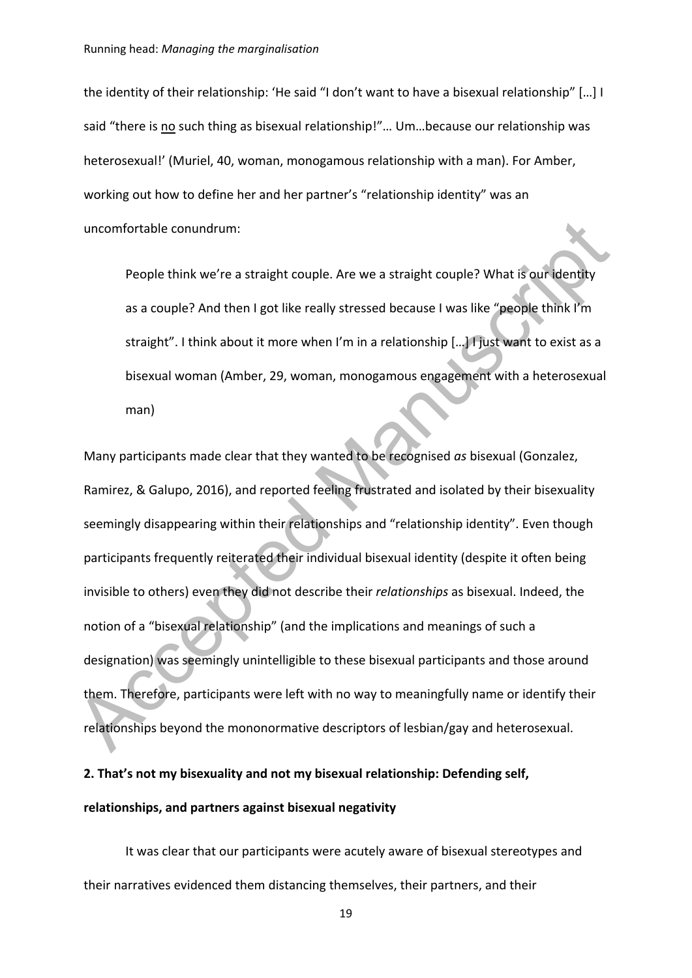the identity of their relationship: 'He said "I don't want to have a bisexual relationship" […] I said "there is no such thing as bisexual relationship!"… Um…because our relationship was heterosexual!' (Muriel, 40, woman, monogamous relationship with a man). For Amber, working out how to define her and her partner's "relationship identity" was an uncomfortable conundrum:

People think we're a straight couple. Are we a straight couple? What is our identity as a couple? And then I got like really stressed because I was like "people think I'm straight". I think about it more when I'm in a relationship [...] I just want to exist as a bisexual woman (Amber, 29, woman, monogamous engagement with a heterosexual man)

uncomfortable conundrum:<br>
People think we're a straight couple. Are we a straight couple? What is our identity<br>
as a couple? And then I got like really stressed because I was like "people think I"m<br>
straight". I think abou Many participants made clear that they wanted to be recognised *as* bisexual (Gonzalez, Ramirez, & Galupo, 2016), and reported feeling frustrated and isolated by their bisexuality seemingly disappearing within their relationships and "relationship identity". Even though participants frequently reiterated their individual bisexual identity (despite it often being invisible to others) even they did not describe their *relationships* as bisexual. Indeed, the notion of a "bisexual relationship" (and the implications and meanings of such a designation) was seemingly unintelligible to these bisexual participants and those around them. Therefore, participants were left with no way to meaningfully name or identify their relationships beyond the mononormative descriptors of lesbian/gay and heterosexual.

# **2. That's not my bisexuality and not my bisexual relationship: Defending self, relationships, and partners against bisexual negativity**

It was clear that our participants were acutely aware of bisexual stereotypes and their narratives evidenced them distancing themselves, their partners, and their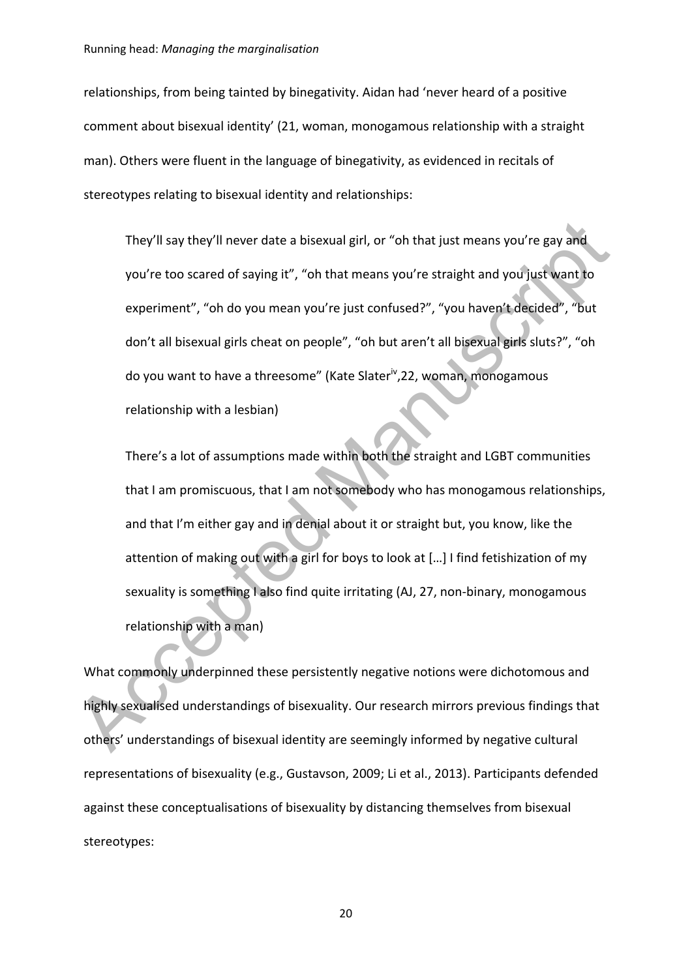relationships, from being tainted by binegativity. Aidan had 'never heard of a positive comment about bisexual identity' (21, woman, monogamous relationship with a straight man). Others were fluent in the language of binegativity, as evidenced in recitals of stereotypes relating to bisexual identity and relationships:

They'll say they'll never date a bisexual girl, or "oh that just means you're gay and you're too scared of saying it", "oh that means you're straight and you just want to experiment", "oh do you mean you're just confused?", "you haven't decided", "but don't all bisexual girls cheat on people", "oh but aren't all bisexual girls sluts?", "oh do you want to have a threesome" (Kate Slater<sup>iv</sup>, 22, woman, monogamous relationship with a lesbian)

They'll say they'll never date a bisexual girl, or "oh that just means you're gay and<br>you're too scared of saying it", "oh that means you're straight and you'just want to<br>experiment", "oh do you mean you're just confused? There's a lot of assumptions made within both the straight and LGBT communities that I am promiscuous, that I am not somebody who has monogamous relationships, and that I'm either gay and in denial about it or straight but, you know, like the attention of making out with a girl for boys to look at […] I find fetishization of my sexuality is something I also find quite irritating (AJ, 27, non-binary, monogamous relationship with a man)

What commonly underpinned these persistently negative notions were dichotomous and highly sexualised understandings of bisexuality. Our research mirrors previous findings that others' understandings of bisexual identity are seemingly informed by negative cultural representations of bisexuality (e.g., Gustavson, 2009; Li et al., 2013). Participants defended against these conceptualisations of bisexuality by distancing themselves from bisexual stereotypes: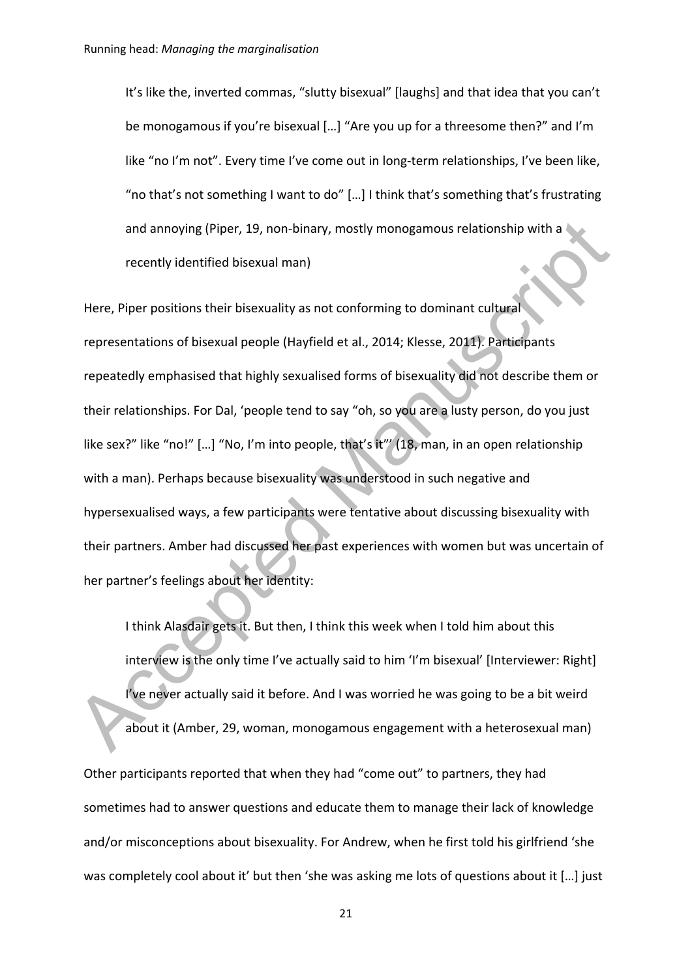It's like the, inverted commas, "slutty bisexual" [laughs] and that idea that you can't be monogamous if you're bisexual […] "Are you up for a threesome then?" and I'm like "no I'm not". Every time I've come out in long-term relationships, I've been like, "no that's not something I want to do" […] I think that's something that's frustrating and annoying (Piper, 19, non-binary, mostly monogamous relationship with a recently identified bisexual man)

and annoying (Piper, 19, non-binary, mostly monogamous relationship with a<br>recently identified bisexual man)<br>Here, Piper positions their bisexuality as not conforming to dominant cultural<br>representations of bisexual people Here, Piper positions their bisexuality as not conforming to dominant cultural representations of bisexual people (Hayfield et al., 2014; Klesse, 2011). Participants repeatedly emphasised that highly sexualised forms of bisexuality did not describe them or their relationships. For Dal, 'people tend to say "oh, so you are a lusty person, do you just like sex?" like "no!" [...] "No, I'm into people, that's it"' (18, man, in an open relationship with a man). Perhaps because bisexuality was understood in such negative and hypersexualised ways, a few participants were tentative about discussing bisexuality with their partners. Amber had discussed her past experiences with women but was uncertain of her partner's feelings about her identity:

I think Alasdair gets it. But then, I think this week when I told him about this interview is the only time I've actually said to him 'I'm bisexual' [Interviewer: Right] I've never actually said it before. And I was worried he was going to be a bit weird about it (Amber, 29, woman, monogamous engagement with a heterosexual man)

Other participants reported that when they had "come out" to partners, they had sometimes had to answer questions and educate them to manage their lack of knowledge and/or misconceptions about bisexuality. For Andrew, when he first told his girlfriend 'she was completely cool about it' but then 'she was asking me lots of questions about it [...] just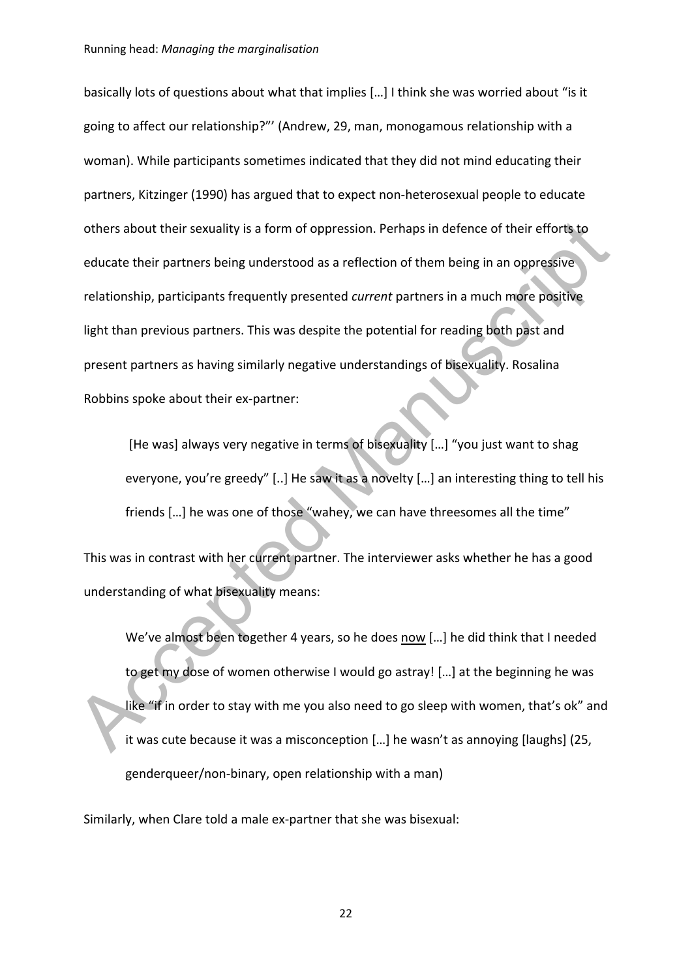others about their sexuality is a form of oppression. Perhaps in defence of their efforts to<br>
educate their partners being understood as a reflection of them being in an oppressive<br>
relationship, participants frequently pr basically lots of questions about what that implies […] I think she was worried about "is it going to affect our relationship?"' (Andrew, 29, man, monogamous relationship with a woman). While participants sometimes indicated that they did not mind educating their partners, Kitzinger (1990) has argued that to expect non-heterosexual people to educate others about their sexuality is a form of oppression. Perhaps in defence of their efforts to educate their partners being understood as a reflection of them being in an oppressive relationship, participants frequently presented *current* partners in a much more positive light than previous partners. This was despite the potential for reading both past and present partners as having similarly negative understandings of bisexuality. Rosalina Robbins spoke about their ex-partner:

[He was] always very negative in terms of bisexuality [...] "you just want to shag everyone, you're greedy" [..] He saw it as a novelty […] an interesting thing to tell his friends […] he was one of those "wahey, we can have threesomes all the time"

This was in contrast with her current partner. The interviewer asks whether he has a good understanding of what bisexuality means:

We've almost been together 4 years, so he does now […] he did think that I needed to get my dose of women otherwise I would go astray! […] at the beginning he was like "if in order to stay with me you also need to go sleep with women, that's ok" and it was cute because it was a misconception […] he wasn't as annoying [laughs] (25, genderqueer/non-binary, open relationship with a man)

Similarly, when Clare told a male ex-partner that she was bisexual: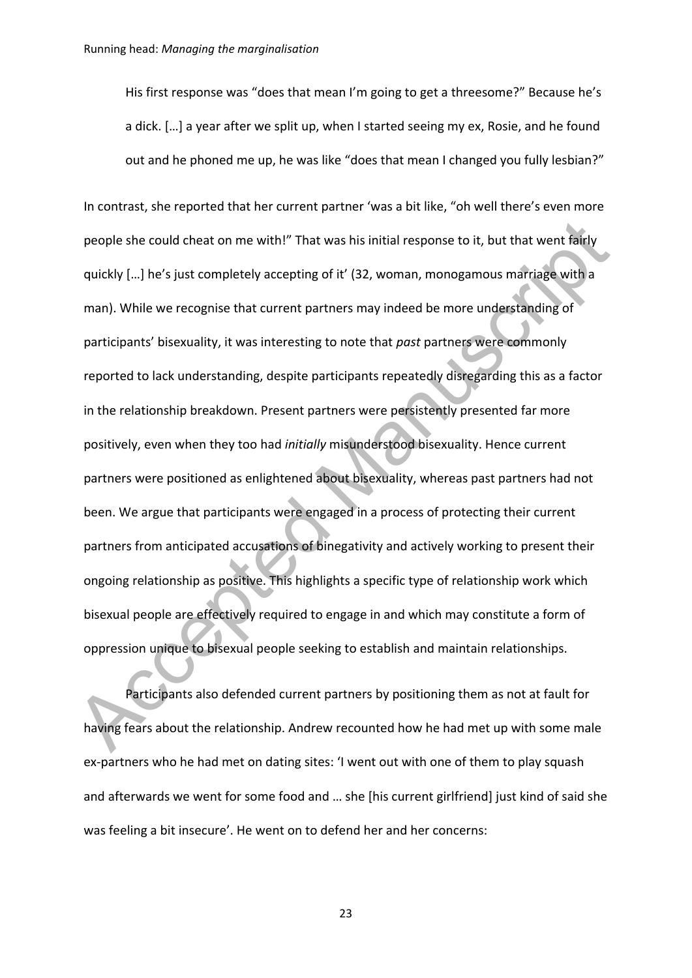His first response was "does that mean I'm going to get a threesome?" Because he's a dick. […] a year after we split up, when I started seeing my ex, Rosie, and he found out and he phoned me up, he was like "does that mean I changed you fully lesbian?"

people she could cheat on me with!" That was his initial response to it, but that went laidly<br>quickly [...] he's just completely accepting of it' (32, woman, monogamous marriage with a<br>man). While we recognise that current In contrast, she reported that her current partner 'was a bit like, "oh well there's even more people she could cheat on me with!" That was his initial response to it, but that went fairly quickly […] he's just completely accepting of it' (32, woman, monogamous marriage with a man). While we recognise that current partners may indeed be more understanding of participants' bisexuality, it was interesting to note that *past* partners were commonly reported to lack understanding, despite participants repeatedly disregarding this as a factor in the relationship breakdown. Present partners were persistently presented far more positively, even when they too had *initially* misunderstood bisexuality. Hence current partners were positioned as enlightened about bisexuality, whereas past partners had not been. We argue that participants were engaged in a process of protecting their current partners from anticipated accusations of binegativity and actively working to present their ongoing relationship as positive. This highlights a specific type of relationship work which bisexual people are effectively required to engage in and which may constitute a form of oppression unique to bisexual people seeking to establish and maintain relationships.

Participants also defended current partners by positioning them as not at fault for having fears about the relationship. Andrew recounted how he had met up with some male ex-partners who he had met on dating sites: 'I went out with one of them to play squash and afterwards we went for some food and … she [his current girlfriend] just kind of said she was feeling a bit insecure'. He went on to defend her and her concerns: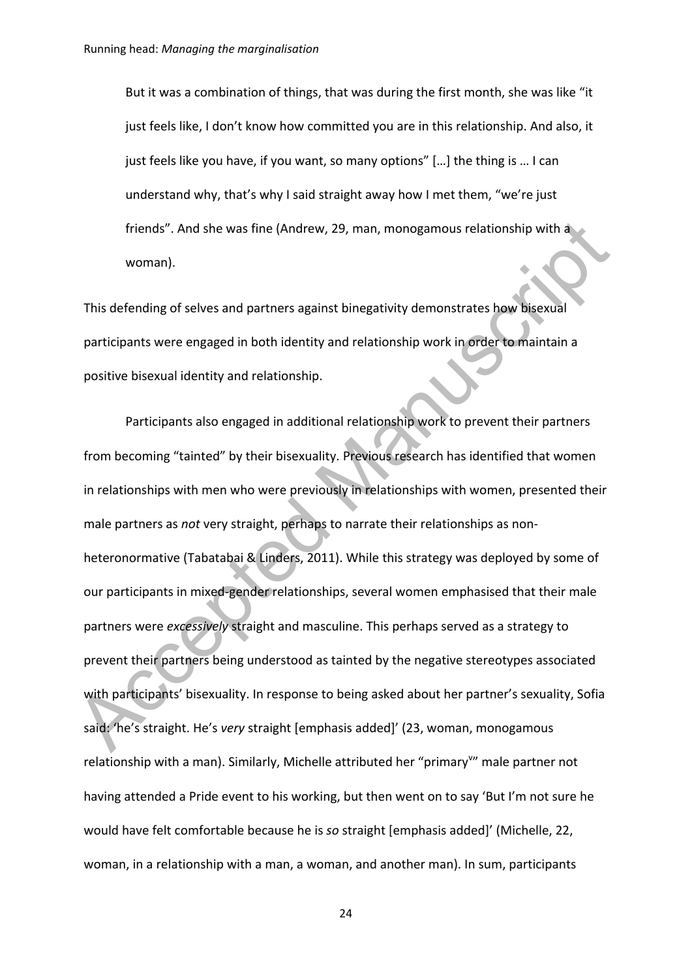But it was a combination of things, that was during the first month, she was like "it just feels like, I don't know how committed you are in this relationship. And also, it just feels like you have, if you want, so many options" […] the thing is … I can understand why, that's why I said straight away how I met them, "we're just friends". And she was fine (Andrew, 29, man, monogamous relationship with a woman).

This defending of selves and partners against binegativity demonstrates how bisexual participants were engaged in both identity and relationship work in order to maintain a positive bisexual identity and relationship.

friends". And she was fine (Andrew, 29, man, monogamous relationship with a<br>woman).<br>This defending of selves and partners against binegativity demonstrates how bisexual<br>participants were engaged in both identity and relati Participants also engaged in additional relationship work to prevent their partners from becoming "tainted" by their bisexuality. Previous research has identified that women in relationships with men who were previously in relationships with women, presented their male partners as *not* very straight, perhaps to narrate their relationships as nonheteronormative (Tabatabai & Linders, 2011). While this strategy was deployed by some of our participants in mixed-gender relationships, several women emphasised that their male partners were *excessively* straight and masculine. This perhaps served as a strategy to prevent their partners being understood as tainted by the negative stereotypes associated with participants' bisexuality. In response to being asked about her partner's sexuality, Sofia said: 'he's straight. He's *very* straight [emphasis added]' (23, woman, monogamous relationship with a man). Similarly, Michelle attributed her "primary" male partner not having attended a Pride event to his working, but then went on to say 'But I'm not sure he would have felt comfortable because he is *so* straight [emphasis added]' (Michelle, 22, woman, in a relationship with a man, a woman, and another man). In sum, participants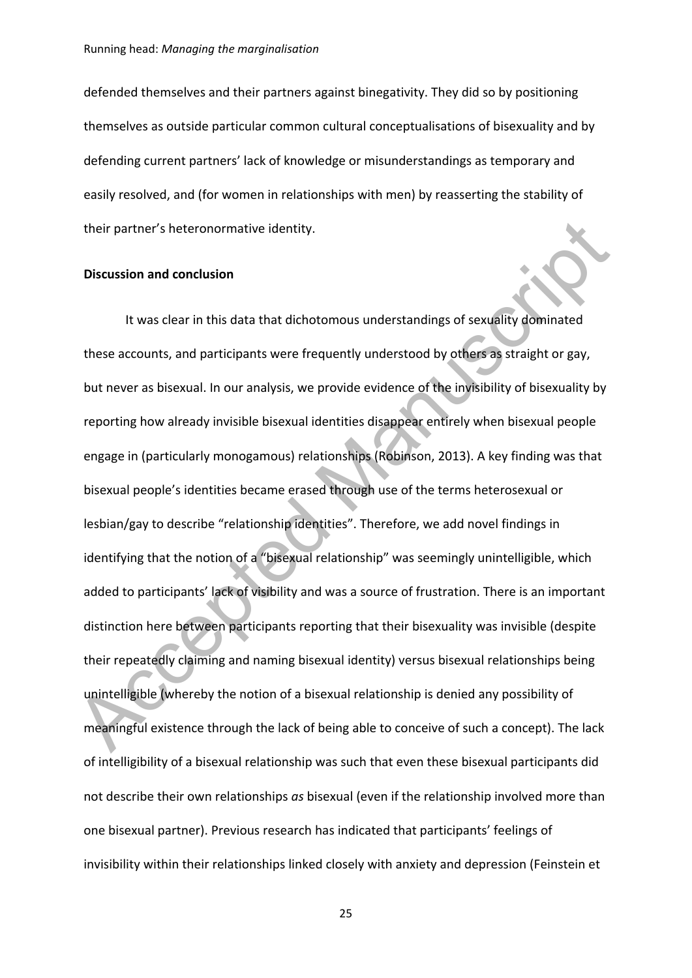defended themselves and their partners against binegativity. They did so by positioning themselves as outside particular common cultural conceptualisations of bisexuality and by defending current partners' lack of knowledge or misunderstandings as temporary and easily resolved, and (for women in relationships with men) by reasserting the stability of their partner's heteronormative identity.

## **Discussion and conclusion**

their partner's heteronormative identity.<br>
Discussion and conclusion<br>
It was clear in this data that dichotomous understandings of sexuality dominated<br>
these acccounts, and participants were frequently understood by others It was clear in this data that dichotomous understandings of sexuality dominated these accounts, and participants were frequently understood by others as straight or gay, but never as bisexual. In our analysis, we provide evidence of the invisibility of bisexuality by reporting how already invisible bisexual identities disappear entirely when bisexual people engage in (particularly monogamous) relationships (Robinson, 2013). A key finding was that bisexual people's identities became erased through use of the terms heterosexual or lesbian/gay to describe "relationship identities". Therefore, we add novel findings in identifying that the notion of a "bisexual relationship" was seemingly unintelligible, which added to participants' lack of visibility and was a source of frustration. There is an important distinction here between participants reporting that their bisexuality was invisible (despite their repeatedly claiming and naming bisexual identity) versus bisexual relationships being unintelligible (whereby the notion of a bisexual relationship is denied any possibility of meaningful existence through the lack of being able to conceive of such a concept). The lack of intelligibility of a bisexual relationship was such that even these bisexual participants did not describe their own relationships *as* bisexual (even if the relationship involved more than one bisexual partner). Previous research has indicated that participants' feelings of invisibility within their relationships linked closely with anxiety and depression (Feinstein et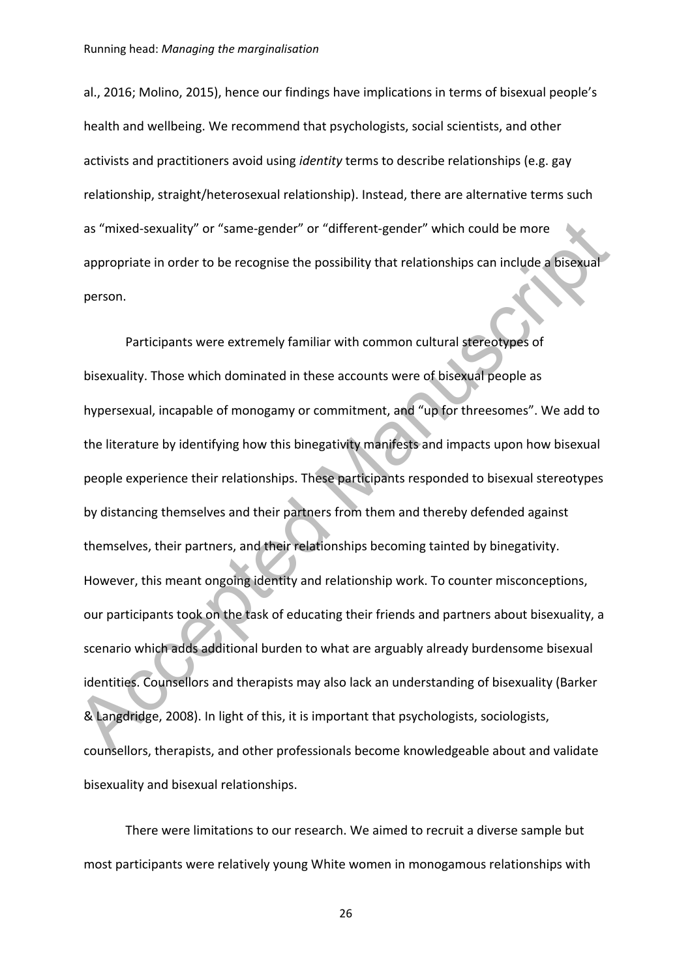al., 2016; Molino, 2015), hence our findings have implications in terms of bisexual people's health and wellbeing. We recommend that psychologists, social scientists, and other activists and practitioners avoid using *identity* terms to describe relationships (e.g. gay relationship, straight/heterosexual relationship). Instead, there are alternative terms such as "mixed-sexuality" or "same-gender" or "different-gender" which could be more appropriate in order to be recognise the possibility that relationships can include a bisexual person.

as "mixed-sexuality" or "same-gender" or "different-gender" which could be more<br>appropriate in order to be recognise the possibility that relationships can include a bisexual<br>person.<br><br>Participants were extremely familiar w Participants were extremely familiar with common cultural stereotypes of bisexuality. Those which dominated in these accounts were of bisexual people as hypersexual, incapable of monogamy or commitment, and "up for threesomes". We add to the literature by identifying how this binegativity manifests and impacts upon how bisexual people experience their relationships. These participants responded to bisexual stereotypes by distancing themselves and their partners from them and thereby defended against themselves, their partners, and their relationships becoming tainted by binegativity. However, this meant ongoing identity and relationship work. To counter misconceptions, our participants took on the task of educating their friends and partners about bisexuality, a scenario which adds additional burden to what are arguably already burdensome bisexual identities. Counsellors and therapists may also lack an understanding of bisexuality (Barker & Langdridge, 2008). In light of this, it is important that psychologists, sociologists, counsellors, therapists, and other professionals become knowledgeable about and validate bisexuality and bisexual relationships.

There were limitations to our research. We aimed to recruit a diverse sample but most participants were relatively young White women in monogamous relationships with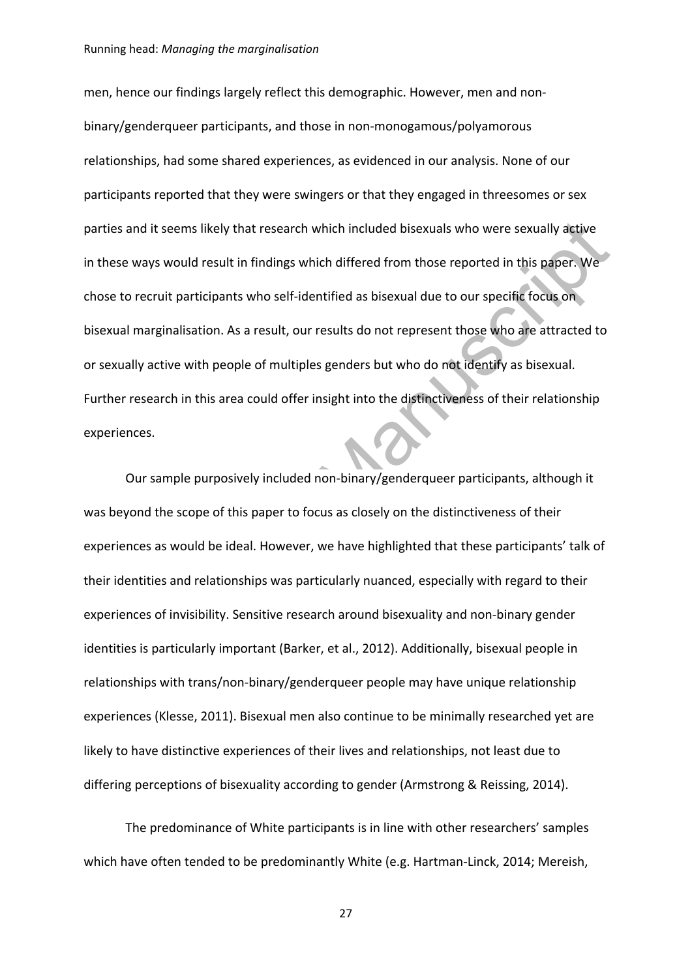men, hence our findings largely reflect this demographic. However, men and nonbinary/genderqueer participants, and those in non-monogamous/polyamorous relationships, had some shared experiences, as evidenced in our analysis. None of our participants reported that they were swingers or that they engaged in threesomes or sex parties and it seems likely that research which included bisexuals who were sexually active in these ways would result in findings which differed from those reported in this paper. We chose to recruit participants who self-identified as bisexual due to our specific focus on bisexual marginalisation. As a result, our results do not represent those who are attracted to or sexually active with people of multiples genders but who do not identify as bisexual. Further research in this area could offer insight into the distinctiveness of their relationship experiences.

parties and it seems likely that research which included bisexuals who were sexually active<br>in these ways would result in findings which differed from those reported in this paper. We<br>chose to recruit participants who self Our sample purposively included non-binary/genderqueer participants, although it was beyond the scope of this paper to focus as closely on the distinctiveness of their experiences as would be ideal. However, we have highlighted that these participants' talk of their identities and relationships was particularly nuanced, especially with regard to their experiences of invisibility. Sensitive research around bisexuality and non-binary gender identities is particularly important (Barker, et al., 2012). Additionally, bisexual people in relationships with trans/non-binary/genderqueer people may have unique relationship experiences (Klesse, 2011). Bisexual men also continue to be minimally researched yet are likely to have distinctive experiences of their lives and relationships, not least due to differing perceptions of bisexuality according to gender (Armstrong & Reissing, 2014).

The predominance of White participants is in line with other researchers' samples which have often tended to be predominantly White (e.g. Hartman-Linck, 2014; Mereish,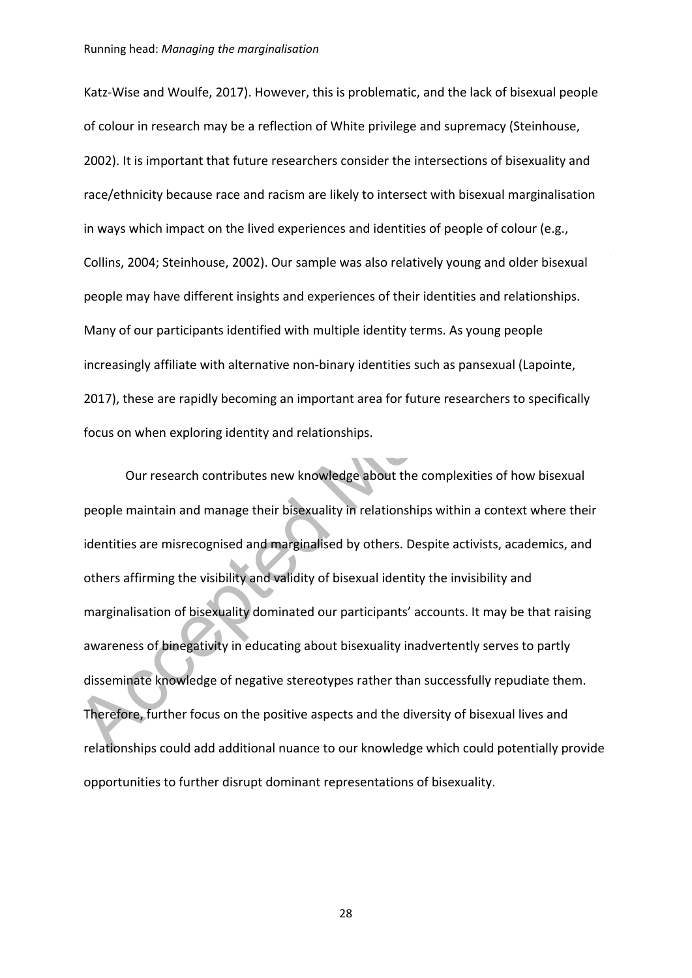Katz-Wise and Woulfe, 2017). However, this is problematic, and the lack of bisexual people of colour in research may be a reflection of White privilege and supremacy (Steinhouse, 2002). It is important that future researchers consider the intersections of bisexuality and race/ethnicity because race and racism are likely to intersect with bisexual marginalisation in ways which impact on the lived experiences and identities of people of colour (e.g., Collins, 2004; Steinhouse, 2002). Our sample was also relatively young and older bisexual people may have different insights and experiences of their identities and relationships. Many of our participants identified with multiple identity terms. As young people increasingly affiliate with alternative non-binary identities such as pansexual (Lapointe, 2017), these are rapidly becoming an important area for future researchers to specifically focus on when exploring identity and relationships.

in ways which impact on the lived experiences and identities of people of colour (e.g.,<br>Collins, 2004; Steinhouse, 2002). Our sample was also relatively young and older bisexual<br>people may have different insights and exper Our research contributes new knowledge about the complexities of how bisexual people maintain and manage their bisexuality in relationships within a context where their identities are misrecognised and marginalised by others. Despite activists, academics, and others affirming the visibility and validity of bisexual identity the invisibility and marginalisation of bisexuality dominated our participants' accounts. It may be that raising awareness of binegativity in educating about bisexuality inadvertently serves to partly disseminate knowledge of negative stereotypes rather than successfully repudiate them. Therefore, further focus on the positive aspects and the diversity of bisexual lives and relationships could add additional nuance to our knowledge which could potentially provide opportunities to further disrupt dominant representations of bisexuality.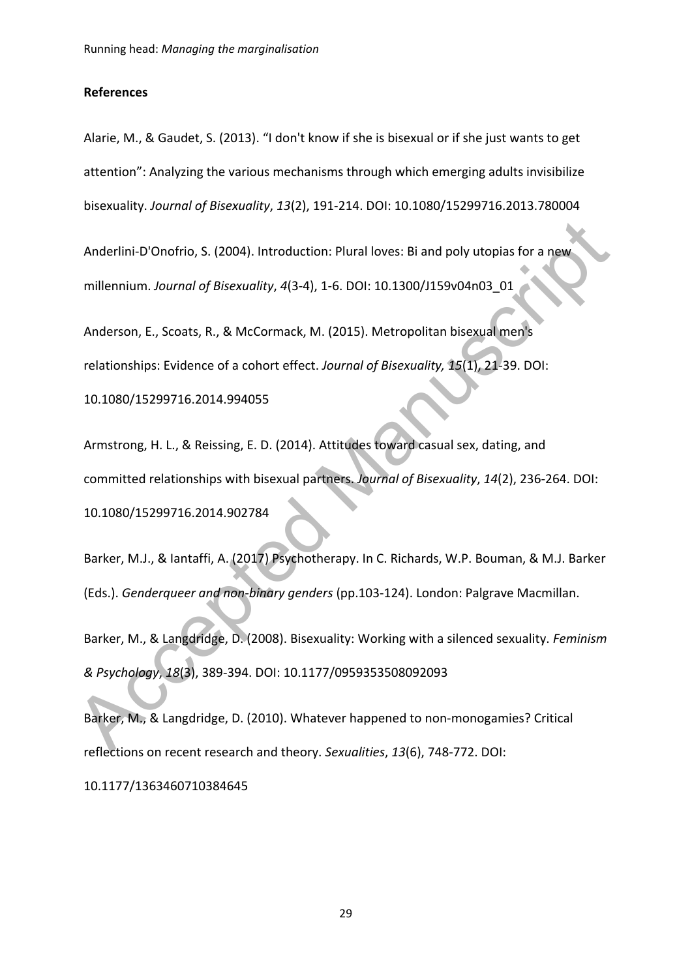#### **References**

Alarie, M., & Gaudet, S. (2013). "I don't know if she is bisexual or if she just wants to get attention": Analyzing the various mechanisms through which emerging adults invisibilize bisexuality. *Journal of Bisexuality*, *13*(2), 191-214. DOI: 10.1080/15299716.2013.780004

Anderlini-D'Onofrio, S. (2004). Introduction: Plural loves: Bi and poly utopias for a new millennium. *Journal of Bisexuality*, *4*(3-4), 1-6. DOI: 10.1300/J159v04n03\_01

Anderson, E., Scoats, R., & McCormack, M. (2015). Metropolitan bisexual men's relationships: Evidence of a cohort effect. *Journal of Bisexuality, 15*(1), 21-39. DOI: 10.1080/15299716.2014.994055

Anderlini-D'Onofrio, S. (2004). Introduction: Plural loves: Bi and poly utopias for a new<br>
millennium. Journal of Bisexuality, 4(3-4), 1-6. DOI: 10.1300/J159v04n03\_01<br>
Anderson, E., Scoats, R., & McCormack, M. (2015). Metr Armstrong, H. L., & Reissing, E. D. (2014). Attitudes toward casual sex, dating, and committed relationships with bisexual partners. *Journal of Bisexuality*, *14*(2), 236-264. DOI: 10.1080/15299716.2014.902784

Barker, M.J., & Iantaffi, A. (2017) Psychotherapy. In C. Richards, W.P. Bouman, & M.J. Barker (Eds.). *Genderqueer and non-binary genders* (pp.103-124). London: Palgrave Macmillan.

Barker, M., & Langdridge, D. (2008). Bisexuality: Working with a silenced sexuality. *Feminism & Psychology*, *18*(3), 389-394. DOI: 10.1177/0959353508092093

Barker, M., & Langdridge, D. (2010). Whatever happened to non-monogamies? Critical reflections on recent research and theory. *Sexualities*, *13*(6), 748-772. DOI:

10.1177/1363460710384645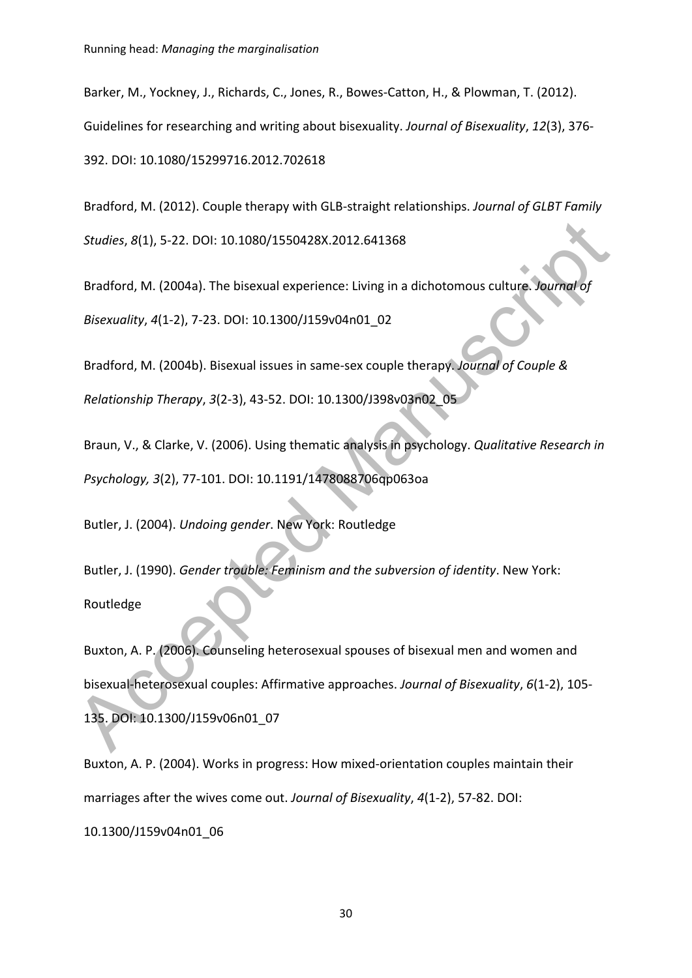Barker, M., Yockney, J., Richards, C., Jones, R., Bowes-Catton, H., & Plowman, T. (2012). Guidelines for researching and writing about bisexuality. *Journal of Bisexuality*, *12*(3), 376- 392. DOI: 10.1080/15299716.2012.702618

Bradford, M. (2012). Couple therapy with GLB-straight relationships. *Journal of GLBT Family* 

*Studies*, *8*(1), 5-22. DOI: 10.1080/1550428X.2012.641368

Bradford, M. (2004a). The bisexual experience: Living in a dichotomous culture. *Journal of* 

*Bisexuality*, *4*(1-2), 7-23. DOI: 10.1300/J159v04n01\_02

Bradford, M. (2004b). Bisexual issues in same-sex couple therapy. *Journal of Couple & Relationship Therapy*, *3*(2-3), 43-52. DOI: 10.1300/J398v03n02\_05

Braun, V., & Clarke, V. (2006). Using thematic analysis in psychology. *Qualitative Research in Psychology, 3*(2), 77-101. DOI: 10.1191/1478088706qp063oa

Butler, J. (2004). *Undoing gender*. New York: Routledge

Butler, J. (1990). *Gender trouble: Feminism and the subversion of identity*. New York: Routledge

Studies, 8(1), 5-22. DOI: 10.1080/1550428X.2012.641368<br>
Bradford, M. (2004a). The bisexual experience: Living in a dichotomous culture. Journal of<br>
Bisexuality, 4(1-2), 7-23. DOI: 10.1300/1159v04n01\_02<br>
Bradford, M. (2004b Buxton, A. P. (2006). Counseling heterosexual spouses of bisexual men and women and bisexual-heterosexual couples: Affirmative approaches. *Journal of Bisexuality*, *6*(1-2), 105- 135. DOI: 10.1300/J159v06n01\_07

Buxton, A. P. (2004). Works in progress: How mixed-orientation couples maintain their marriages after the wives come out. *Journal of Bisexuality*, *4*(1-2), 57-82. DOI: 10.1300/J159v04n01\_06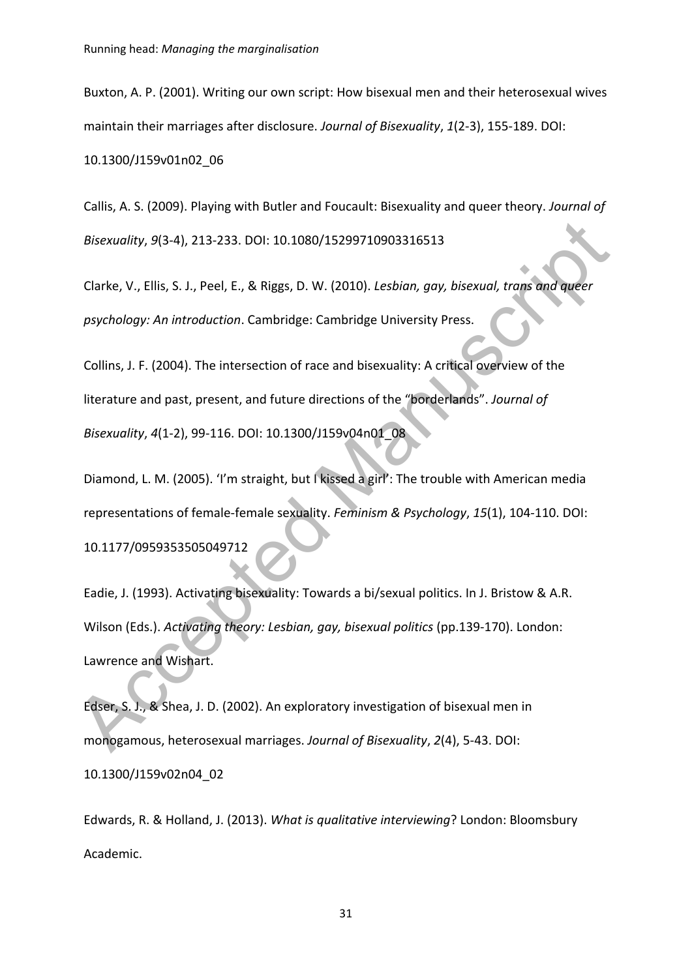Buxton, A. P. (2001). Writing our own script: How bisexual men and their heterosexual wives maintain their marriages after disclosure. *Journal of Bisexuality*, *1*(2-3), 155-189. DOI: 10.1300/J159v01n02\_06

Callis, A. S. (2009). Playing with Butler and Foucault: Bisexuality and queer theory. *Journal of Bisexuality*, *9*(3-4), 213-233. DOI: 10.1080/15299710903316513

Clarke, V., Ellis, S. J., Peel, E., & Riggs, D. W. (2010). *Lesbian, gay, bisexual, trans and queer psychology: An introduction*. Cambridge: Cambridge University Press.

Bisexuality, 9(3-4), 213-233. DOI: 10.1080/15299710903316513<br>
Clarke, V., Ellis, S. J., Peel, E., & Riggs, D. W. (2010). Lesbian, gay, bisexual, trans and queer<br>
psychology: An introduction. Cambridge: Cambridge University Collins, J. F. (2004). The intersection of race and bisexuality: A critical overview of the literature and past, present, and future directions of the "borderlands". *Journal of Bisexuality*, *4*(1-2), 99-116. DOI: 10.1300/J159v04n01\_08

Diamond, L. M. (2005). 'I'm straight, but I kissed a girl': The trouble with American media representations of female-female sexuality. *Feminism & Psychology*, *15*(1), 104-110. DOI: 10.1177/0959353505049712

Eadie, J. (1993). Activating bisexuality: Towards a bi/sexual politics. In J. Bristow & A.R. Wilson (Eds.). *Activating theory: Lesbian, gay, bisexual politics* (pp.139-170). London: Lawrence and Wishart.

Edser, S. J., & Shea, J. D. (2002). An exploratory investigation of bisexual men in monogamous, heterosexual marriages. *Journal of Bisexuality*, *2*(4), 5-43. DOI: 10.1300/J159v02n04\_02

Edwards, R. & Holland, J. (2013). *What is qualitative interviewing*? London: Bloomsbury Academic.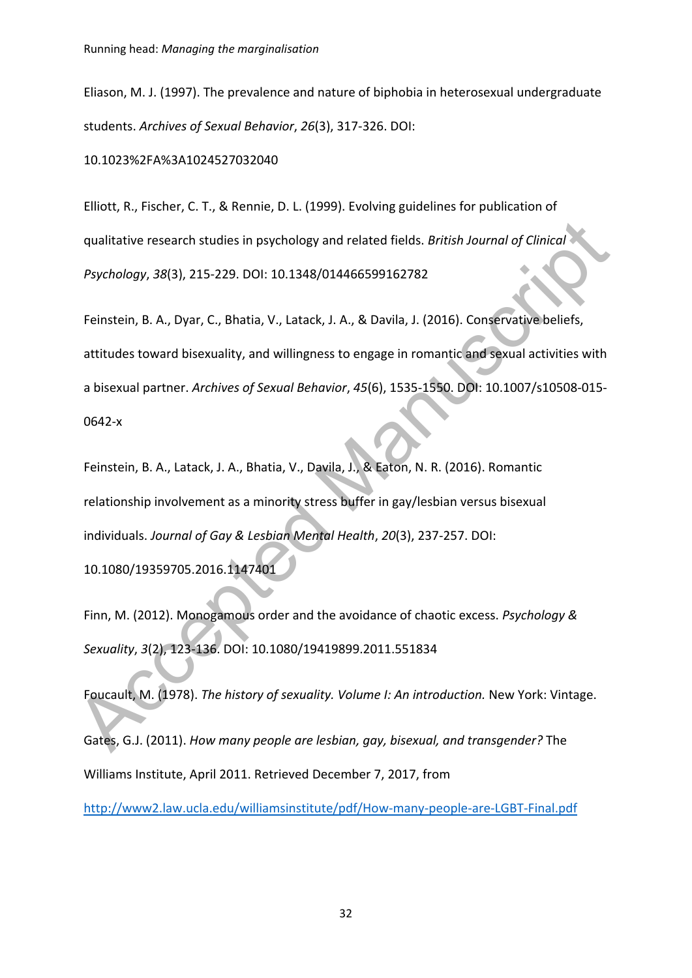Eliason, M. J. (1997). The prevalence and nature of biphobia in heterosexual undergraduate students. *Archives of Sexual Behavior*, *26*(3), 317-326. DOI:

10.1023%2FA%3A1024527032040

Elliott, R., Fischer, C. T., & Rennie, D. L. (1999). Evolving guidelines for publication of qualitative research studies in psychology and related fields. *British Journal of Clinical Psychology*, *38*(3), 215-229. DOI: 10.1348/014466599162782

qualitative research studies in psychology and related fields. *British Journal of Clinical*<br> *Psychology, 38*(3), 215-229. DOI: 10.1348/014466599162782<br> **Feinstein, B. A., Dyar, C., Bhatia, V., Latack, J. A., & Davila, J.** Feinstein, B. A., Dyar, C., Bhatia, V., Latack, J. A., & Davila, J. (2016). Conservative beliefs, attitudes toward bisexuality, and willingness to engage in romantic and sexual activities with a bisexual partner. *Archives of Sexual Behavior*, *45*(6), 1535-1550. DOI: 10.1007/s10508-015- 0642-x

Feinstein, B. A., Latack, J. A., Bhatia, V., Davila, J., & Eaton, N. R. (2016). Romantic relationship involvement as a minority stress buffer in gay/lesbian versus bisexual individuals. *Journal of Gay & Lesbian Mental Health*, *20*(3), 237-257. DOI: 10.1080/19359705.2016.1147401

Finn, M. (2012). Monogamous order and the avoidance of chaotic excess. *Psychology & Sexuality*, *3*(2), 123-136. DOI: 10.1080/19419899.2011.551834

Foucault, M. (1978). *The history of sexuality. Volume I: An introduction.* New York: Vintage.

Gates, G.J. (2011). *How many people are lesbian, gay, bisexual, and transgender?* The Williams Institute, April 2011. Retrieved December 7, 2017, from

http://www2.law.ucla.edu/williamsinstitute/pdf/How-many-people-are-LGBT-Final.pdf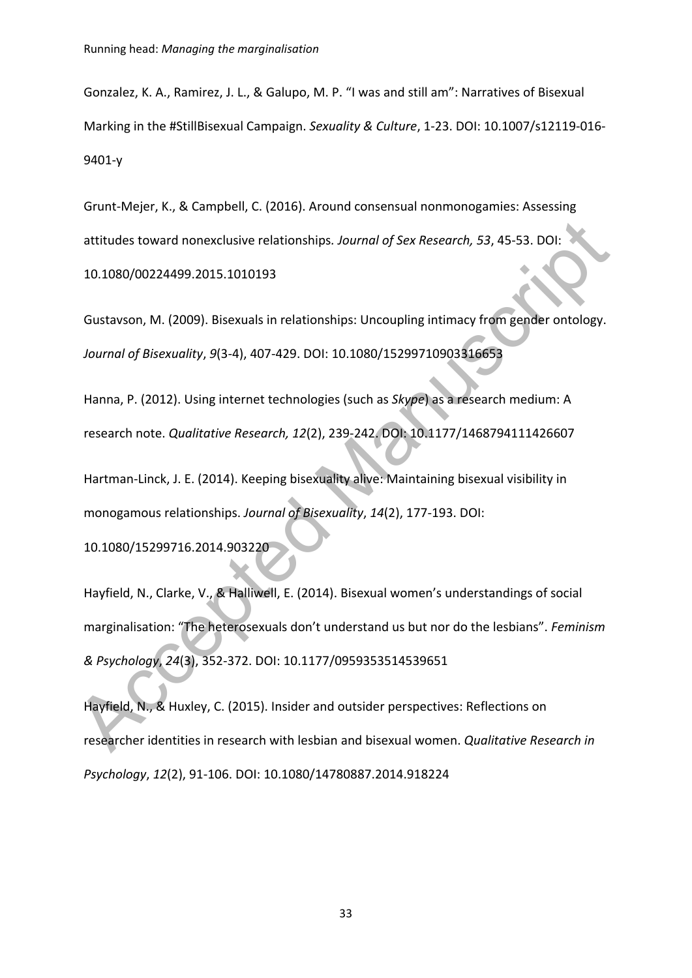Gonzalez, K. A., Ramirez, J. L., & Galupo, M. P. "I was and still am": Narratives of Bisexual Marking in the #StillBisexual Campaign. *Sexuality & Culture*, 1-23. DOI: 10.1007/s12119-016- 9401-y

Grunt-Mejer, K., & Campbell, C. (2016). Around consensual nonmonogamies: Assessing attitudes toward nonexclusive relationships*. Journal of Sex Research, 53*, 45-53. DOI: 10.1080/00224499.2015.1010193

Gustavson, M. (2009). Bisexuals in relationships: Uncoupling intimacy from gender ontology. *Journal of Bisexuality*, *9*(3-4), 407-429. DOI: 10.1080/15299710903316653

Hanna, P. (2012). Using internet technologies (such as *Skype*) as a research medium: A research note. *Qualitative Research, 12*(2), 239-242. DOI: 10.1177/1468794111426607

Hartman-Linck, J. E. (2014). Keeping bisexuality alive: Maintaining bisexual visibility in monogamous relationships. *Journal of Bisexuality*, *14*(2), 177-193. DOI:

10.1080/15299716.2014.903220

attitudes toward nonexclusive relationships, Journal of Sex Research, 53, 45-53, DOI:<br>
10.1080/00224499.2015.1010193<br>
Gustavson, M. (2009). Bisexuals in relationships: Uncoupling intimacy from gender ontology.<br>
Journal of Hayfield, N., Clarke, V., & Halliwell, E. (2014). Bisexual women's understandings of social marginalisation: "The heterosexuals don't understand us but nor do the lesbians". *Feminism & Psychology*, *24*(3), 352-372. DOI: 10.1177/0959353514539651

Hayfield, N., & Huxley, C. (2015). Insider and outsider perspectives: Reflections on researcher identities in research with lesbian and bisexual women. *Qualitative Research in Psychology*, *12*(2), 91-106. DOI: 10.1080/14780887.2014.918224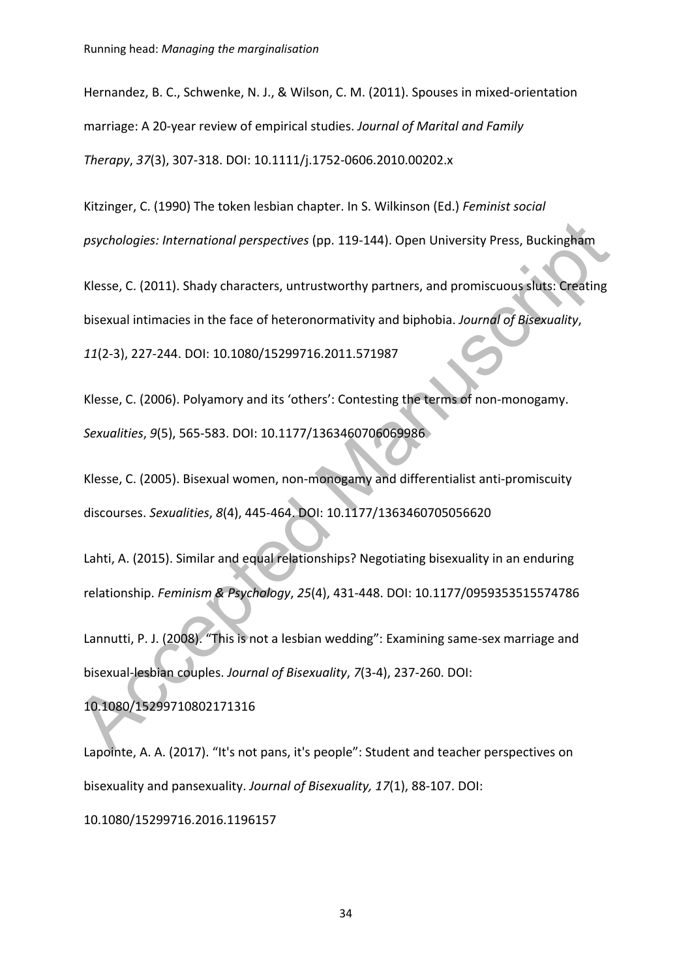Hernandez, B. C., Schwenke, N. J., & Wilson, C. M. (2011). Spouses in mixed-orientation marriage: A 20-year review of empirical studies. *Journal of Marital and Family Therapy*, *37*(3), 307-318. DOI: 10.1111/j.1752-0606.2010.00202.x

Kitzinger, C. (1990) The token lesbian chapter. In S. Wilkinson (Ed.) *Feminist social psychologies: International perspectives* (pp. 119-144). Open University Press, Buckingham

Klesse, C. (2011). Shady characters, untrustworthy partners, and promiscuous sluts: Creating bisexual intimacies in the face of heteronormativity and biphobia. *Journal of Bisexuality*,

*11*(2-3), 227-244. DOI: 10.1080/15299716.2011.571987

Klesse, C. (2006). Polyamory and its 'others': Contesting the terms of non-monogamy. *Sexualities*, *9*(5), 565-583. DOI: 10.1177/1363460706069986

Klesse, C. (2005). Bisexual women, non-monogamy and differentialist anti-promiscuity discourses. *Sexualities*, *8*(4), 445-464. DOI: 10.1177/1363460705056620

psychologies: International perspectives (pp. 119-144). Open University Press, Buckingham<br>Klesse, C. (2011). Shady characters, untrustworthy partners, and promiscuous sluts: Creating<br>bisexual intimacies in the face of hete Lahti, A. (2015). Similar and equal relationships? Negotiating bisexuality in an enduring relationship. *Feminism & Psychology*, *25*(4), 431-448. DOI: 10.1177/0959353515574786

Lannutti, P. J. (2008). "This is not a lesbian wedding": Examining same-sex marriage and bisexual-lesbian couples. *Journal of Bisexuality*, *7*(3-4), 237-260. DOI:

10.1080/15299710802171316

Lapointe, A. A. (2017). "It's not pans, it's people": Student and teacher perspectives on bisexuality and pansexuality. *Journal of Bisexuality, 17*(1), 88-107. DOI: 10.1080/15299716.2016.1196157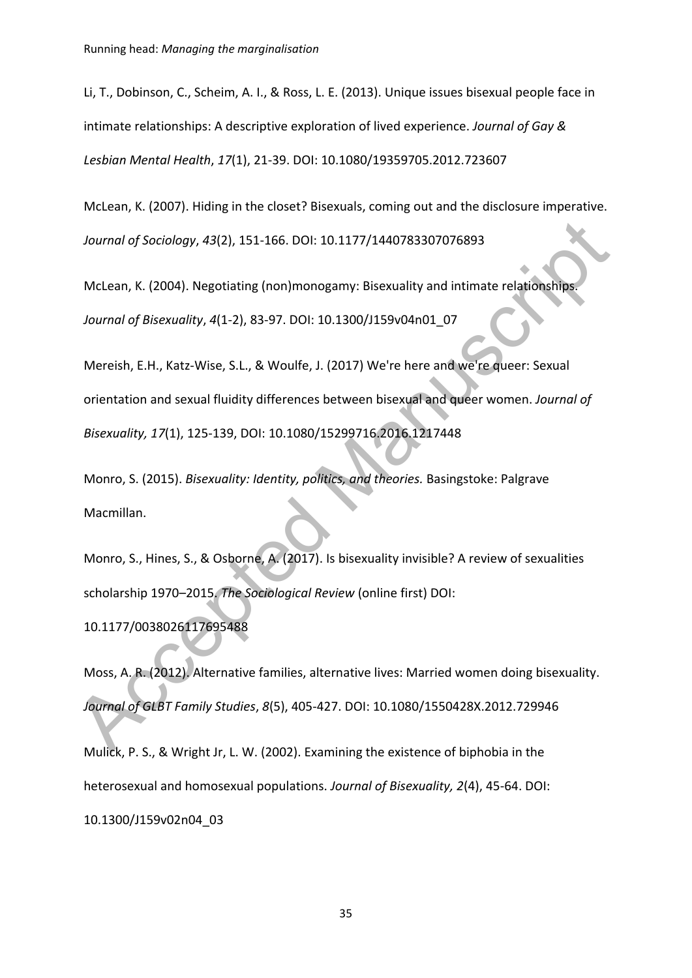Li, T., Dobinson, C., Scheim, A. I., & Ross, L. E. (2013). Unique issues bisexual people face in intimate relationships: A descriptive exploration of lived experience. *Journal of Gay & Lesbian Mental Health*, *17*(1), 21-39. DOI: 10.1080/19359705.2012.723607

McLean, K. (2007). Hiding in the closet? Bisexuals, coming out and the disclosure imperative. *Journal of Sociology*, *43*(2), 151-166. DOI: 10.1177/1440783307076893

McLean, K. (2004). Negotiating (non)monogamy: Bisexuality and intimate relationships. *Journal of Bisexuality*, *4*(1-2), 83-97. DOI: 10.1300/J159v04n01\_07

Journal of Sociology, 43(2), 151-166. DOI: 10.1177/1440783307076893<br>
McLean, K. (2004). Negotiating (non)monogamy: Bisexuality and intimate relationships.<br>
Journal of Bisexuality, 4(1-2), 83-97. DOI: 10.1300/J159v04n01\_07<br> Mereish, E.H., Katz-Wise, S.L., & Woulfe, J. (2017) We're here and we're queer: Sexual orientation and sexual fluidity differences between bisexual and queer women. *Journal of Bisexuality, 17*(1), 125-139, DOI: 10.1080/15299716.2016.1217448

Monro, S. (2015). *Bisexuality: Identity, politics, and theories.* Basingstoke: Palgrave Macmillan.

Monro, S., Hines, S., & Osborne, A. (2017). Is bisexuality invisible? A review of sexualities scholarship 1970–2015. *The Sociological Review* (online first) DOI:

10.1177/0038026117695488

Moss, A. R. (2012). Alternative families, alternative lives: Married women doing bisexuality. *Journal of GLBT Family Studies*, *8*(5), 405-427. DOI: 10.1080/1550428X.2012.729946

Mulick, P. S., & Wright Jr, L. W. (2002). Examining the existence of biphobia in the heterosexual and homosexual populations. *Journal of Bisexuality, 2*(4), 45-64. DOI: 10.1300/J159v02n04\_03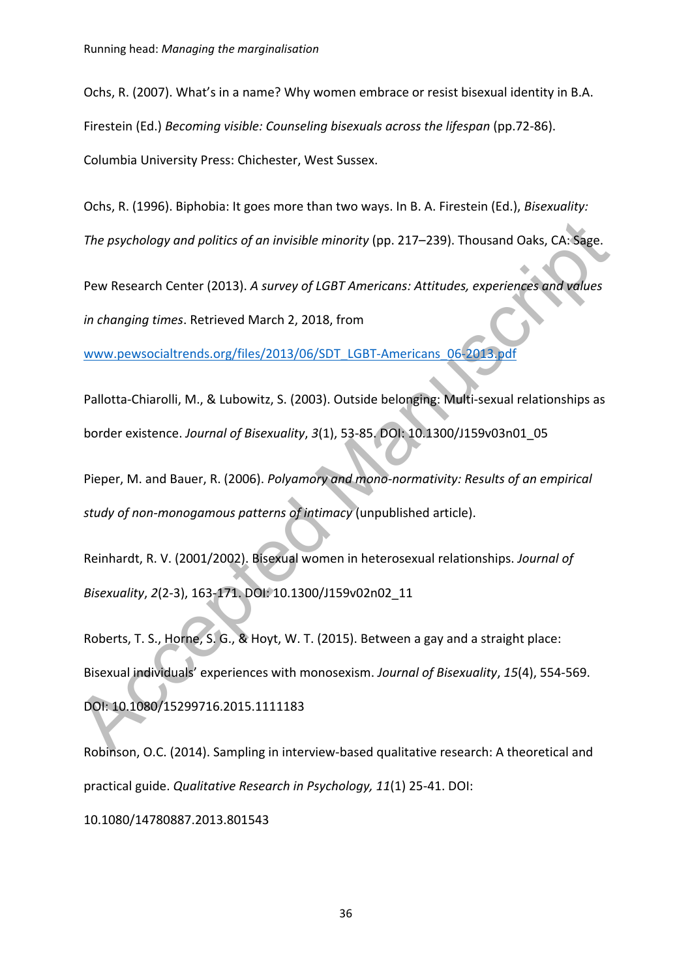Ochs, R. (2007). What's in a name? Why women embrace or resist bisexual identity in B.A. Firestein (Ed.) *Becoming visible: Counseling bisexuals across the lifespan (pp.72-86).* Columbia University Press: Chichester, West Sussex.

Ochs, R. (1996). Biphobia: It goes more than two ways. In B. A. Firestein (Ed.), *Bisexuality: The psychology and politics of an invisible minority* (pp. 217–239). Thousand Oaks, CA: Sage.

Pew Research Center (2013). *A survey of LGBT Americans: Attitudes, experiences and values* 

*in changing times*. Retrieved March 2, 2018, from

www.pewsocialtrends.org/files/2013/06/SDT\_LGBT-Americans\_06-2013.pdf

Pallotta-Chiarolli, M., & Lubowitz, S. (2003). Outside belonging: Multi-sexual relationships as border existence. *Journal of Bisexuality*, *3*(1), 53-85. DOI: 10.1300/J159v03n01\_05

Pieper, M. and Bauer, R. (2006). *Polyamory and mono-normativity: Results of an empirical study of non-monogamous patterns of intimacy* (unpublished article).

Reinhardt, R. V. (2001/2002). Bisexual women in heterosexual relationships. *Journal of Bisexuality*, *2*(2-3), 163-171. DOI: 10.1300/J159v02n02\_11

The psychology and politics of an invisible minority (pp. 217–239). Thousand Oaks, CA: Sigge.<br>
Pew Research Center (2013). A survey of LGBT Americans: Attitudes, experiences and values<br>
in changing times. Retrieved March 2 Roberts, T. S., Horne, S. G., & Hoyt, W. T. (2015). Between a gay and a straight place: Bisexual individuals' experiences with monosexism. *Journal of Bisexuality*, *15*(4), 554-569. DOI: 10.1080/15299716.2015.1111183

Robinson, O.C. (2014). Sampling in interview-based qualitative research: A theoretical and practical guide. *Qualitative Research in Psychology, 11*(1) 25-41. DOI: 10.1080/14780887.2013.801543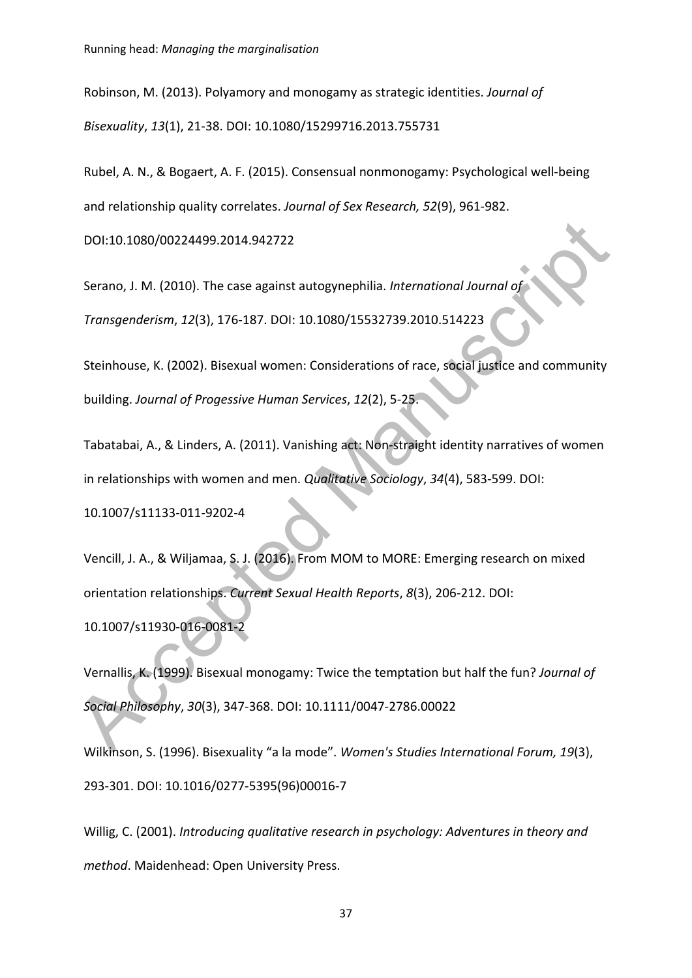Robinson, M. (2013). Polyamory and monogamy as strategic identities. *Journal of Bisexuality*, *13*(1), 21-38. DOI: 10.1080/15299716.2013.755731

Rubel, A. N., & Bogaert, A. F. (2015). Consensual nonmonogamy: Psychological well-being and relationship quality correlates. *Journal of Sex Research, 52*(9), 961-982.

DOI:10.1080/00224499.2014.942722

Serano, J. M. (2010). The case against autogynephilia. *International Journal of Transgenderism*, *12*(3), 176-187. DOI: 10.1080/15532739.2010.514223

Steinhouse, K. (2002). Bisexual women: Considerations of race, social justice and community building. *Journal of Progessive Human Services*, *12*(2), 5-25.

Tabatabai, A., & Linders, A. (2011). Vanishing act: Non-straight identity narratives of women in relationships with women and men. *Qualitative Sociology*, *34*(4), 583-599. DOI: 10.1007/s11133-011-9202-4

DOI:10.1080/00224499.2014.942722<br>
Serano, J. M. (2010). The case against autogynephilia. International Journal of<br>
Transgenderism, 12(3), 176-187. DOI: 10.1080/15532739.2010.514223<br>
Steinhouse, K. (2002). Bisexual women: C Vencill, J. A., & Wiljamaa, S. J. (2016). From MOM to MORE: Emerging research on mixed orientation relationships. *Current Sexual Health Reports*, *8*(3), 206-212. DOI: 10.1007/s11930-016-0081-2

Vernallis, K. (1999). Bisexual monogamy: Twice the temptation but half the fun? *Journal of Social Philosophy*, *30*(3), 347-368. DOI: 10.1111/0047-2786.00022

Wilkinson, S. (1996). Bisexuality "a la mode". *Women's Studies International Forum, 19*(3), 293-301. DOI: 10.1016/0277-5395(96)00016-7

Willig, C. (2001). *Introducing qualitative research in psychology: Adventures in theory and method*. Maidenhead: Open University Press.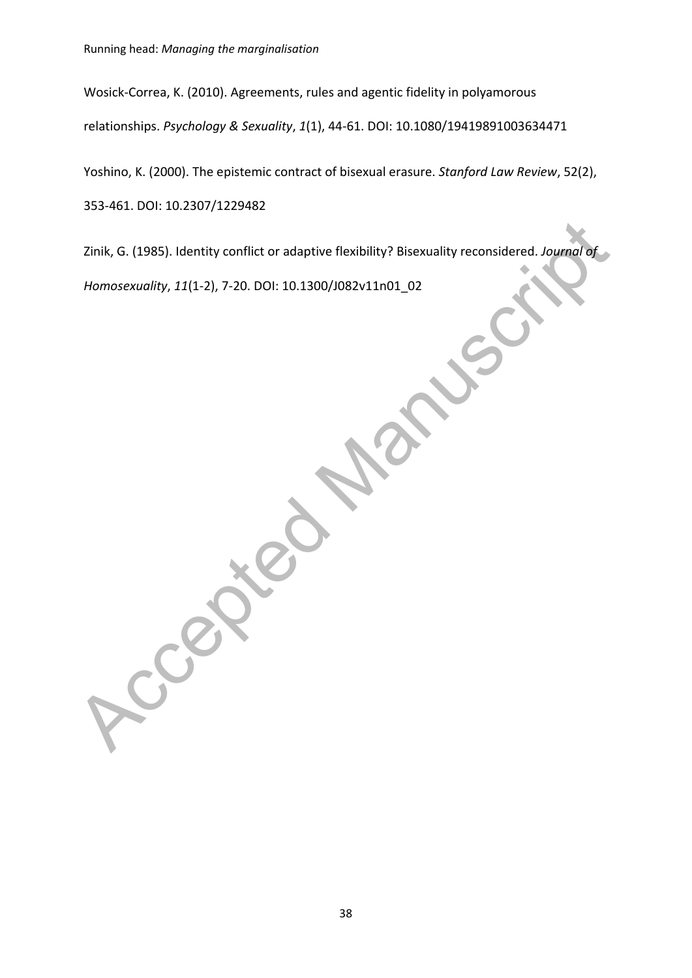Wosick-Correa, K. (2010). Agreements, rules and agentic fidelity in polyamorous relationships. *Psychology & Sexuality*, *1*(1), 44-61. DOI: 10.1080/19419891003634471

Yoshino, K. (2000). The epistemic contract of bisexual erasure. *Stanford Law Review*, 52(2), 353-461. DOI: 10.2307/1229482

Zinik, G. (1985). Identity conflict or adaptive flexibility? Bisexuality reconsidered. Journal of<br>Homosexuality, 11(1-2), 7-20. DOI: 10.1300/J082v11n01\_02<br>Accepted Manuscriptics of the Contract of the Contract of the Contr Zinik, G. (1985). Identity conflict or adaptive flexibility? Bisexuality reconsidered. *Journal of Homosexuality*, *11*(1-2), 7-20. DOI: 10.1300/J082v11n01\_02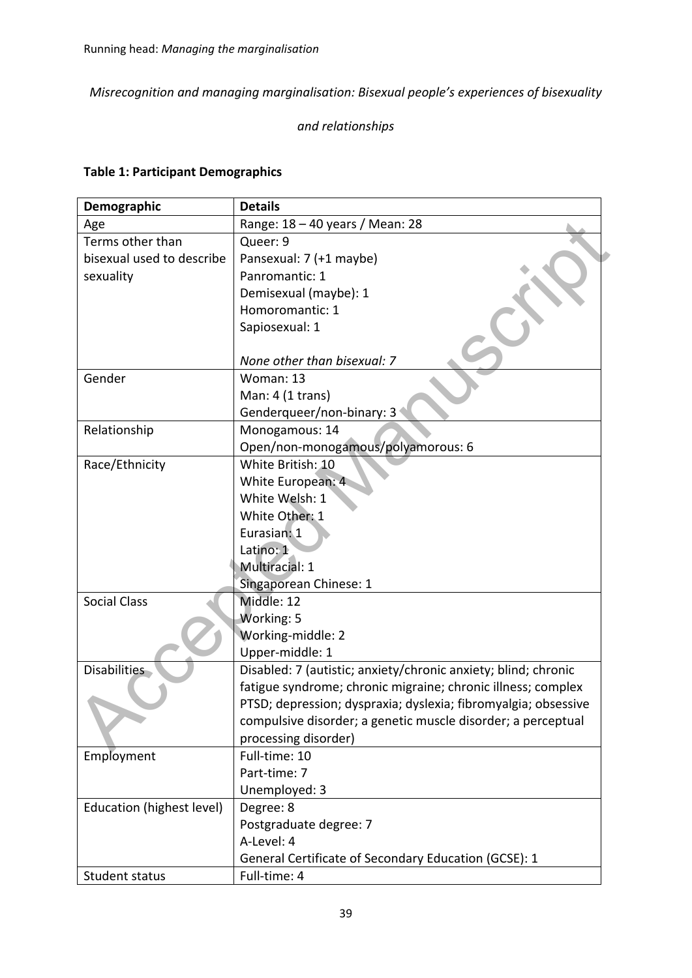*Misrecognition and managing marginalisation: Bisexual people's experiences of bisexuality* 

# *and relationships*

# **Table 1: Participant Demographics**

| Demographic               | <b>Details</b>                                                 |
|---------------------------|----------------------------------------------------------------|
| Age                       | Range: 18 - 40 years / Mean: 28                                |
| Terms other than          | Queer: 9                                                       |
| bisexual used to describe | Pansexual: 7 (+1 maybe)                                        |
| sexuality                 | Panromantic: 1                                                 |
|                           | Demisexual (maybe): 1                                          |
|                           | Homoromantic: 1                                                |
|                           | Sapiosexual: 1                                                 |
|                           |                                                                |
|                           | None other than bisexual: 7                                    |
| Gender                    | Woman: 13                                                      |
|                           | Man: 4 (1 trans)                                               |
|                           | Genderqueer/non-binary: 3                                      |
| Relationship              | Monogamous: 14                                                 |
|                           | Open/non-monogamous/polyamorous: 6                             |
| Race/Ethnicity            | White British: 10                                              |
|                           | White European: 4                                              |
|                           | White Welsh: 1                                                 |
|                           | White Other: 1                                                 |
|                           | Eurasian: 1                                                    |
|                           | Latino: 1                                                      |
|                           | <b>Multiracial: 1</b>                                          |
|                           | Singaporean Chinese: 1                                         |
| <b>Social Class</b>       | Middle: 12                                                     |
|                           | Working: 5                                                     |
|                           | Working-middle: 2                                              |
|                           | Upper-middle: 1                                                |
| <b>Disabilities</b>       | Disabled: 7 (autistic; anxiety/chronic anxiety; blind; chronic |
|                           | fatigue syndrome; chronic migraine; chronic illness; complex   |
|                           | PTSD; depression; dyspraxia; dyslexia; fibromyalgia; obsessive |
|                           | compulsive disorder; a genetic muscle disorder; a perceptual   |
|                           | processing disorder)                                           |
| Employment                | Full-time: 10                                                  |
|                           | Part-time: 7                                                   |
|                           | Unemployed: 3                                                  |
| Education (highest level) | Degree: 8                                                      |
|                           | Postgraduate degree: 7                                         |
|                           | A-Level: 4                                                     |
|                           | General Certificate of Secondary Education (GCSE): 1           |
| Student status            | Full-time: 4                                                   |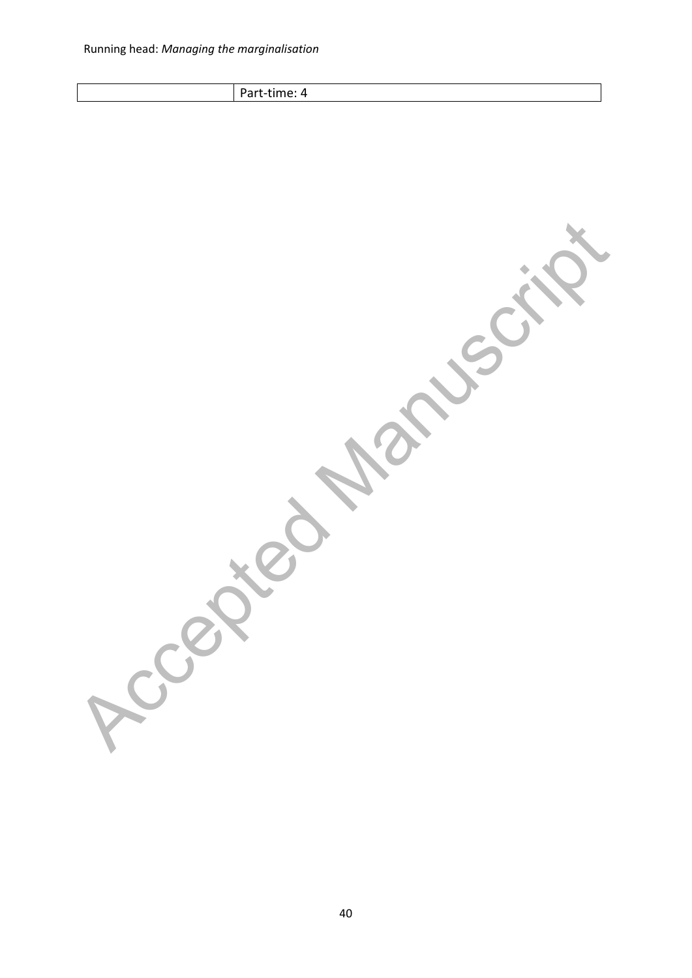Part-time: 4

Ccepted Manuscrit